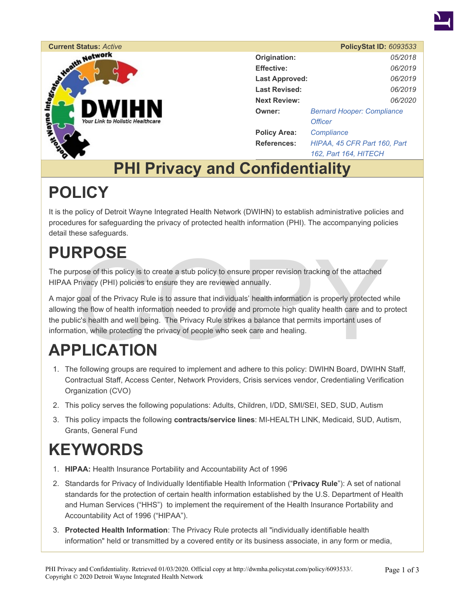



|                       | <b>PolicyStat ID: 6093533</b>     |  |
|-----------------------|-----------------------------------|--|
| Origination:          | 05/2018                           |  |
| <b>Effective:</b>     | 06/2019                           |  |
| <b>Last Approved:</b> | 06/2019                           |  |
| <b>Last Revised:</b>  | 06/2019                           |  |
| <b>Next Review:</b>   | 06/2020                           |  |
| Owner:                | <b>Bernard Hooper: Compliance</b> |  |
|                       | <b>Officer</b>                    |  |
| <b>Policy Area:</b>   | Compliance                        |  |
| References:           | HIPAA, 45 CFR Part 160, Part      |  |
|                       | 162, Part 164, HITECH             |  |

## **PHI Privacy and Confidentiality**

## **POLICY**

It is the policy of Detroit Wayne Integrated Health Network (DWIHN) to establish administrative policies and procedures for safeguarding the privacy of protected health information (PHI). The accompanying policies detail these safeguards.

## **PURPOSE**

The purpose of this policy is to create a stub policy to ensure proper revision tracking of the attached HIPAA Privacy (PHI) policies to ensure they are reviewed annually.

**EVIDE:**<br>pose of this policy is to create a stub policy to ensure proper revision tracking of the attached<br>Privacy (PHI) policies to ensure they are reviewed annually.<br>goal of the Privacy Rule is to assure that individuals A major goal of the Privacy Rule is to assure that individuals' health information is properly protected while allowing the flow of health information needed to provide and promote high quality health care and to protect the public's health and well being. The Privacy Rule strikes a balance that permits important uses of information, while protecting the privacy of people who seek care and healing.

# **APPLICATION**

- 1. The following groups are required to implement and adhere to this policy: DWIHN Board, DWIHN Staff, Contractual Staff, Access Center, Network Providers, Crisis services vendor, Credentialing Verification Organization (CVO)
- 2. This policy serves the following populations: Adults, Children, I/DD, SMI/SEI, SED, SUD, Autism
- 3. This policy impacts the following **contracts/service lines**: MI-HEALTH LINK, Medicaid, SUD, Autism, Grants, General Fund

## **KEYWORDS**

- 1. **HIPAA:** Health Insurance Portability and Accountability Act of 1996
- 2. Standards for Privacy of Individually Identifiable Health Information ("**Privacy Rule**"): A set of national standards for the protection of certain health information established by the U.S. Department of Health and Human Services ("HHS") to implement the requirement of the Health Insurance Portability and Accountability Act of 1996 ("HIPAA").
- 3. **Protected Health Information**: The Privacy Rule protects all "individually identifiable health information" held or transmitted by a covered entity or its business associate, in any form or media,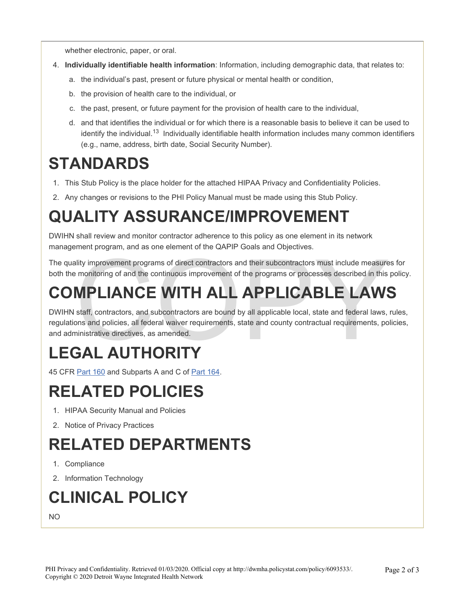whether electronic, paper, or oral.

- 4. **Individually identifiable health information**: Information, including demographic data, that relates to:
	- a. the individual's past, present or future physical or mental health or condition,
	- b. the provision of health care to the individual, or
	- c. the past, present, or future payment for the provision of health care to the individual,
	- d. and that identifies the individual or for which there is a reasonable basis to believe it can be used to identify the individual.<sup>13</sup> Individually identifiable health information includes many common identifiers (e.g., name, address, birth date, Social Security Number).

## **STANDARDS**

- 1. This Stub Policy is the place holder for the attached HIPAA Privacy and Confidentiality Policies.
- 2. Any changes or revisions to the PHI Policy Manual must be made using this Stub Policy.

## **QUALITY ASSURANCE/IMPROVEMENT**

DWIHN shall review and monitor contractor adherence to this policy as one element in its network management program, and as one element of the QAPIP Goals and Objectives.

The quality improvement programs of direct contractors and their subcontractors must include measures for both the monitoring of and the continuous improvement of the programs or processes described in this policy.

## **COMPLIANCE WITH ALL APPLICABLE LAWS**

nity improvement programs of direct contractors and their subcontractors must include measure<br>
e monitoring of and the continuous improvement of the programs or processes described in this<br>
MPLIANCE WITH ALL APPLICABLE LAW DWIHN staff, contractors, and subcontractors are bound by all applicable local, state and federal laws, rules, regulations and policies, all federal waiver requirements, state and county contractual requirements, policies, and administrative directives, as amended.

## **LEGAL AUTHORITY**

45 CFR Part 160 and Subparts A and C of Part 164.

## **RELATED POLICIES**

- 1. HIPAA Security Manual and Policies
- 2. Notice of Privacy Practices

## **RELATED DEPARTMENTS**

- 1. Compliance
- 2. Information Technology

## **CLINICAL POLICY**

NO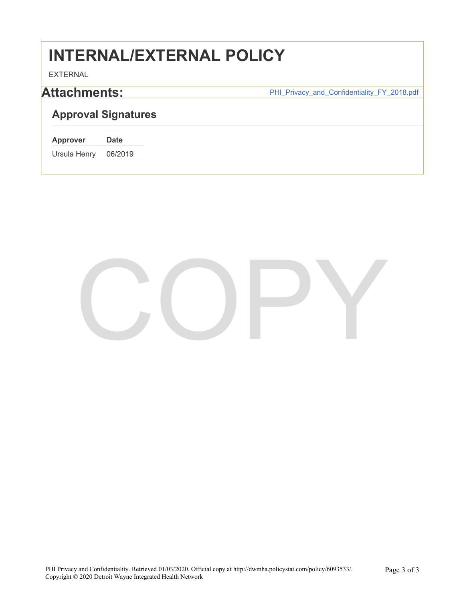## **INTERNAL/EXTERNAL POLICY**

EXTERNAL

Attachments: **Attachments: PHI\_Privacy\_and\_Confidentiality\_FY\_2018.pdf** 

### **Approval Signatures**

| <b>Approver</b> | Date    |
|-----------------|---------|
| Ursula Henry    | 06/2019 |

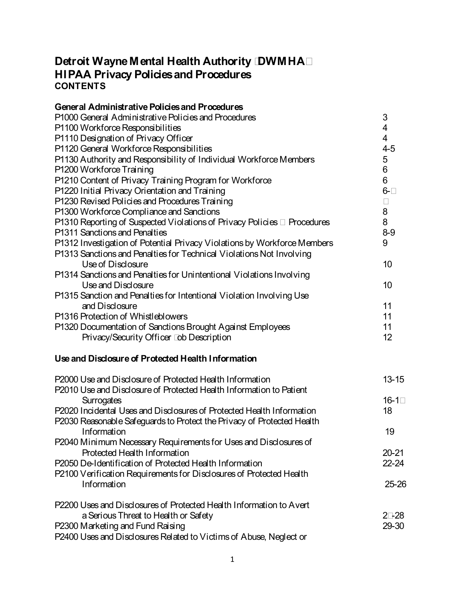### **Detroit Wayne Mental Health Authority (DWMHA) HIPAA Privacy Policies and Procedures CONTENTS**

| $\mathfrak{S}$<br>$\overline{\mathbf{4}}$<br>$\overline{\mathcal{A}}$<br>$4 - 5$<br>$\sqrt{5}$<br>$6\phantom{a}$<br>6<br>P1210 Content of Privacy Training Program for Workforce<br>$6 - 7$<br>$\overline{7}$<br>8<br>8<br>$8-9$<br>P1312 Investigation of Potential Privacy Violations by Workforce Members<br>9<br>P1313 Sanctions and Penalties for Technical Violations Not Involving<br>10<br>Use of Disclosure<br>Use and Disclosure<br>10<br>P1315 Sanction and Penalties for Intentional Violation Involving Use<br>and Disclosure<br>11<br>11<br>P1320 Documentation of Sanctions Brought Against Employees<br>11<br>12<br>Privacy/Security Officer Job Description<br>$13 - 15$<br>$16 - 17$<br>Surrogates<br>18<br>Information<br>19<br>P2040 Minimum Necessary Requirements for Uses and Disclosures of<br>Protected Health Information<br>$20 - 21$<br>P2050 De-Identification of Protected Health Information<br>$22 - 24$<br>P2100 Verification Requirements for Disclosures of Protected Health<br>Information<br>$25 - 26$<br>a Serious Threat to Health or Safety<br>$27 - 28$<br>29-30 | General Administrative Policies and Procedures                           |  |
|-----------------------------------------------------------------------------------------------------------------------------------------------------------------------------------------------------------------------------------------------------------------------------------------------------------------------------------------------------------------------------------------------------------------------------------------------------------------------------------------------------------------------------------------------------------------------------------------------------------------------------------------------------------------------------------------------------------------------------------------------------------------------------------------------------------------------------------------------------------------------------------------------------------------------------------------------------------------------------------------------------------------------------------------------------------------------------------------------------------|--------------------------------------------------------------------------|--|
|                                                                                                                                                                                                                                                                                                                                                                                                                                                                                                                                                                                                                                                                                                                                                                                                                                                                                                                                                                                                                                                                                                           | P1000 General Administrative Policies and Procedures                     |  |
|                                                                                                                                                                                                                                                                                                                                                                                                                                                                                                                                                                                                                                                                                                                                                                                                                                                                                                                                                                                                                                                                                                           | P1100 Workforce Responsibilities                                         |  |
|                                                                                                                                                                                                                                                                                                                                                                                                                                                                                                                                                                                                                                                                                                                                                                                                                                                                                                                                                                                                                                                                                                           | P1110 Designation of Privacy Officer                                     |  |
|                                                                                                                                                                                                                                                                                                                                                                                                                                                                                                                                                                                                                                                                                                                                                                                                                                                                                                                                                                                                                                                                                                           | P1120 General Workforce Responsibilities                                 |  |
|                                                                                                                                                                                                                                                                                                                                                                                                                                                                                                                                                                                                                                                                                                                                                                                                                                                                                                                                                                                                                                                                                                           | P1130 Authority and Responsibility of Individual Workforce Members       |  |
|                                                                                                                                                                                                                                                                                                                                                                                                                                                                                                                                                                                                                                                                                                                                                                                                                                                                                                                                                                                                                                                                                                           | P1200 Workforce Training                                                 |  |
|                                                                                                                                                                                                                                                                                                                                                                                                                                                                                                                                                                                                                                                                                                                                                                                                                                                                                                                                                                                                                                                                                                           |                                                                          |  |
|                                                                                                                                                                                                                                                                                                                                                                                                                                                                                                                                                                                                                                                                                                                                                                                                                                                                                                                                                                                                                                                                                                           | P1220 Initial Privacy Orientation and Training                           |  |
|                                                                                                                                                                                                                                                                                                                                                                                                                                                                                                                                                                                                                                                                                                                                                                                                                                                                                                                                                                                                                                                                                                           | P1230 Revised Policies and Procedures Training                           |  |
|                                                                                                                                                                                                                                                                                                                                                                                                                                                                                                                                                                                                                                                                                                                                                                                                                                                                                                                                                                                                                                                                                                           | P1300 Workforce Compliance and Sanctions                                 |  |
|                                                                                                                                                                                                                                                                                                                                                                                                                                                                                                                                                                                                                                                                                                                                                                                                                                                                                                                                                                                                                                                                                                           | P1310 Reporting of Suspected Violations of Privacy Policies & Procedures |  |
|                                                                                                                                                                                                                                                                                                                                                                                                                                                                                                                                                                                                                                                                                                                                                                                                                                                                                                                                                                                                                                                                                                           | P1311 Sanctions and Penalties                                            |  |
|                                                                                                                                                                                                                                                                                                                                                                                                                                                                                                                                                                                                                                                                                                                                                                                                                                                                                                                                                                                                                                                                                                           |                                                                          |  |
|                                                                                                                                                                                                                                                                                                                                                                                                                                                                                                                                                                                                                                                                                                                                                                                                                                                                                                                                                                                                                                                                                                           |                                                                          |  |
|                                                                                                                                                                                                                                                                                                                                                                                                                                                                                                                                                                                                                                                                                                                                                                                                                                                                                                                                                                                                                                                                                                           |                                                                          |  |
|                                                                                                                                                                                                                                                                                                                                                                                                                                                                                                                                                                                                                                                                                                                                                                                                                                                                                                                                                                                                                                                                                                           | P1314 Sanctions and Penalties for Unintentional Violations Involving     |  |
|                                                                                                                                                                                                                                                                                                                                                                                                                                                                                                                                                                                                                                                                                                                                                                                                                                                                                                                                                                                                                                                                                                           |                                                                          |  |
|                                                                                                                                                                                                                                                                                                                                                                                                                                                                                                                                                                                                                                                                                                                                                                                                                                                                                                                                                                                                                                                                                                           |                                                                          |  |
|                                                                                                                                                                                                                                                                                                                                                                                                                                                                                                                                                                                                                                                                                                                                                                                                                                                                                                                                                                                                                                                                                                           |                                                                          |  |
|                                                                                                                                                                                                                                                                                                                                                                                                                                                                                                                                                                                                                                                                                                                                                                                                                                                                                                                                                                                                                                                                                                           | P1316 Protection of Whistleblowers                                       |  |
|                                                                                                                                                                                                                                                                                                                                                                                                                                                                                                                                                                                                                                                                                                                                                                                                                                                                                                                                                                                                                                                                                                           |                                                                          |  |
|                                                                                                                                                                                                                                                                                                                                                                                                                                                                                                                                                                                                                                                                                                                                                                                                                                                                                                                                                                                                                                                                                                           |                                                                          |  |
|                                                                                                                                                                                                                                                                                                                                                                                                                                                                                                                                                                                                                                                                                                                                                                                                                                                                                                                                                                                                                                                                                                           | Use and Disclosure of Protected Health Information                       |  |
|                                                                                                                                                                                                                                                                                                                                                                                                                                                                                                                                                                                                                                                                                                                                                                                                                                                                                                                                                                                                                                                                                                           | P2000 Use and Disclosure of Protected Health Information                 |  |
|                                                                                                                                                                                                                                                                                                                                                                                                                                                                                                                                                                                                                                                                                                                                                                                                                                                                                                                                                                                                                                                                                                           | P2010 Use and Disclosure of Protected Health Information to Patient      |  |
|                                                                                                                                                                                                                                                                                                                                                                                                                                                                                                                                                                                                                                                                                                                                                                                                                                                                                                                                                                                                                                                                                                           |                                                                          |  |
|                                                                                                                                                                                                                                                                                                                                                                                                                                                                                                                                                                                                                                                                                                                                                                                                                                                                                                                                                                                                                                                                                                           | P2020 Incidental Uses and Disclosures of Protected Health Information    |  |
|                                                                                                                                                                                                                                                                                                                                                                                                                                                                                                                                                                                                                                                                                                                                                                                                                                                                                                                                                                                                                                                                                                           | P2030 Reasonable Safeguards to Protect the Privacy of Protected Health   |  |
|                                                                                                                                                                                                                                                                                                                                                                                                                                                                                                                                                                                                                                                                                                                                                                                                                                                                                                                                                                                                                                                                                                           |                                                                          |  |
|                                                                                                                                                                                                                                                                                                                                                                                                                                                                                                                                                                                                                                                                                                                                                                                                                                                                                                                                                                                                                                                                                                           |                                                                          |  |
|                                                                                                                                                                                                                                                                                                                                                                                                                                                                                                                                                                                                                                                                                                                                                                                                                                                                                                                                                                                                                                                                                                           |                                                                          |  |
|                                                                                                                                                                                                                                                                                                                                                                                                                                                                                                                                                                                                                                                                                                                                                                                                                                                                                                                                                                                                                                                                                                           |                                                                          |  |
|                                                                                                                                                                                                                                                                                                                                                                                                                                                                                                                                                                                                                                                                                                                                                                                                                                                                                                                                                                                                                                                                                                           |                                                                          |  |
|                                                                                                                                                                                                                                                                                                                                                                                                                                                                                                                                                                                                                                                                                                                                                                                                                                                                                                                                                                                                                                                                                                           |                                                                          |  |
|                                                                                                                                                                                                                                                                                                                                                                                                                                                                                                                                                                                                                                                                                                                                                                                                                                                                                                                                                                                                                                                                                                           | P2200 Uses and Disclosures of Protected Health Information to Avert      |  |
|                                                                                                                                                                                                                                                                                                                                                                                                                                                                                                                                                                                                                                                                                                                                                                                                                                                                                                                                                                                                                                                                                                           |                                                                          |  |
|                                                                                                                                                                                                                                                                                                                                                                                                                                                                                                                                                                                                                                                                                                                                                                                                                                                                                                                                                                                                                                                                                                           | P2300 Marketing and Fund Raising                                         |  |
|                                                                                                                                                                                                                                                                                                                                                                                                                                                                                                                                                                                                                                                                                                                                                                                                                                                                                                                                                                                                                                                                                                           | P2400 Uses and Disclosures Related to Victims of Abuse, Neglect or       |  |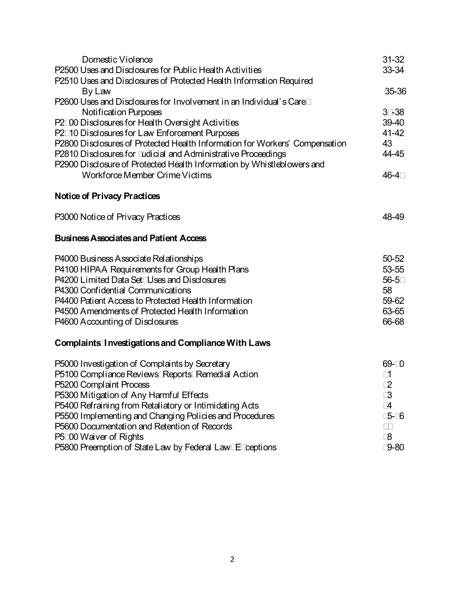| Domestic Violence                                                           | $31 - 32$ |
|-----------------------------------------------------------------------------|-----------|
| P2500 Uses and Disclosures for Public Health Activities                     | $33 - 34$ |
| P2510 Uses and Disclosures of Protected Health Information Required         |           |
| By Law                                                                      | 35-36     |
| P2600 Uses and Disclosures for Involvement in an Individual's Care;         |           |
| Notification Purposes                                                       | 37-38     |
| P2700 Disclosures for Health Oversight Activities                           | $39 - 40$ |
| P2710 Disclosures for Law Enforcement Purposes                              | $41 - 42$ |
| P2800 Disclosures of Protected Health Information for Workers' Compensation | 43        |
| P2810 Disclosures for Judicial and Administrative Proceedings               | 44-45     |
| P2900 Disclosure of Protected Health Information by Whistleblowers and      |           |
| Workforce Member Crime Victims                                              | 46-47     |
|                                                                             |           |
| Notice of Privacy Practices                                                 |           |
|                                                                             |           |
| P3000 Notice of Privacy Practices                                           | 48-49     |
|                                                                             |           |
| <b>Business Associates and Patient Access</b>                               |           |
|                                                                             |           |
| P4000 Business Associate Relationships                                      | $50 - 52$ |
| P4100 HIPAA Requirements for Group Health Plans                             | 53-55     |
| P4200 Limited Data Set; Uses and Disclosures                                | 56-57     |
| P4300 Confidential Communications                                           | 58        |
| P4400 Patient Access to Protected Health Information                        | 59-62     |
| P4500 Amendments of Protected Health Information                            | 63-65     |
| P4600 Accounting of Disclosures                                             | 66-68     |
| <b>Complaints, Investigations and Compliance With Laws</b>                  |           |
|                                                                             |           |
| P5000 Investigation of Complaints by Secretary                              | 69-70     |
| P5100 Compliance Reviews; Reports; Remedial Action                          | 71        |
| P5200 Complaint Process                                                     | 72        |
| P5300 Mitigation of Any Harmful Effects                                     | 73        |
| P5400 Refraining from Retaliatory or Intimidating Acts                      | 74        |
| P5500 Implementing and Changing Policies and Procedures                     | 75-76     |
| P5600 Documentation and Retention of Records                                | 77        |
| P5700 Waiver of Rights                                                      | 78        |
| P5800 Preemption of State Law by Federal Law; Exceptions                    | 79-80     |
|                                                                             |           |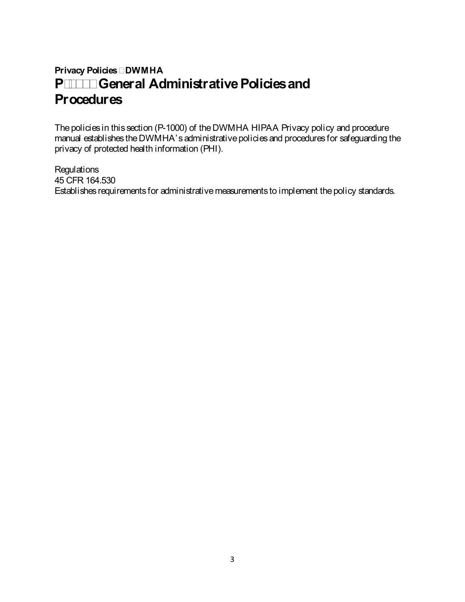### **Privacy Policies – DWMHA P-1000 General Administrative Policies and Procedures**

The policies in this section (P-1000) of the DWMHA HIPAA Privacy policy and procedure manual establishes the DWMHA's administrative policies and procedures for safeguarding the privacy of protected health information (PHI).

**Regulations** 45 CFR 164.530 Establishes requirements for administrative measurements to implement the policy standards.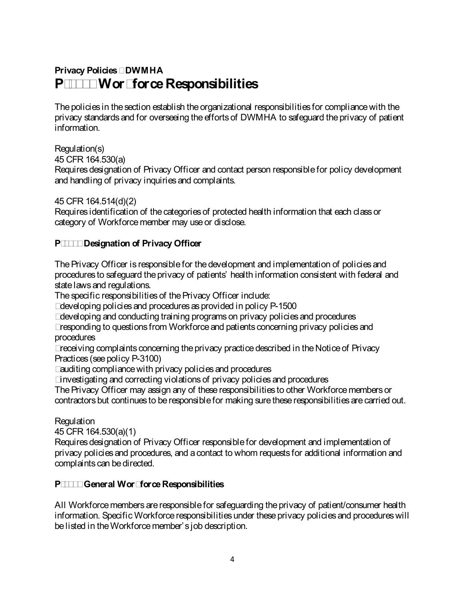### **Privacy Policies – DWMHA P-1100 Workforce Responsibilities**

The policies in the section establish the organizational responsibilities for compliance with the privacy standards and for overseeing the efforts of DWMHA to safeguard the privacy of patient information.

### Regulation(s)

45 CFR 164.530(a)

Requires designation of Privacy Officer and contact person responsible for policy development and handling of privacy inquiries and complaints.

45 CFR 164.514(d)(2)

Requires identification of the categories of protected health information that each class or category of Workforcemember may use or disclose.

### **P-1110 Designation of Privacy Officer**

The Privacy Officer is responsible for the development and implementation of policies and procedures to safeguard the privacy of patients' health information consistent with federal and state laws and regulations.

The specific responsibilities of the Privacy Officer include:

- developing policies and procedures as provided in policy P-1500
- developing and conducting training programs on privacy policies and procedures
- responding to questions from Workforce and patients concerning privacy policies and procedures

• receiving complaints concerning the privacy practice described in the Notice of Privacy Practices (see policy P-3100)

- auditing compliance with privacy policies and procedures
- investigating and correcting violations of privacy policies and procedures

The Privacy Officer may assign any of these responsibilities to other Workforcemembers or contractors but continues to be responsible for making sure these responsibilities are carried out.

### Regulation

45 CFR 164.530(a)(1)

Requires designation of Privacy Officer responsible for development and implementation of privacy policies and procedures, and a contact to whom requests for additional information and complaints can be directed.

### **P-1120 General WorkforceResponsibilities**

All Workforce members are responsible for safeguarding the privacy of patient/consumer health information. Specific Workforce responsibilities under these privacy policies and procedures will be listed in the Workforce member's job description.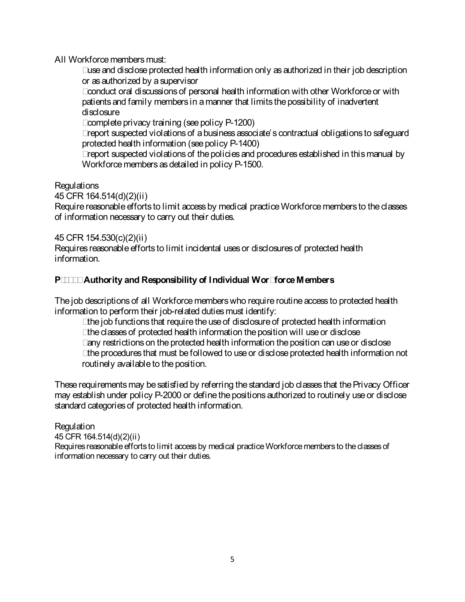All Workforce members must:

• use and disclose protected health information only as authorized in their job description or as authorized by a supervisor

• conduct oral discussions of personal health information with other Workforce or with patients and family members in a manner that limits the possibility of inadvertent disclosure

• complete privacy training (see policy P-1200)

• report suspected violations of a business associate's contractual obligations to safeguard protected health information (see policy P-1400)

• report suspected violations of the policies and procedures established in this manual by Workforce members as detailed in policy P-1500.

Regulations

45 CFR 164.514(d)(2)(ii)

Require reasonable efforts to limit access by medical practice Workforce members to the classes of information necessary to carry out their duties.

### 45 CFR 154.530(c)(2)(ii)

Requires reasonable efforts to limit incidental uses or disclosures of protected health information.

### **P-1130 Authority and Responsibility of Individual Workforce Members**

The job descriptions of all Workforce members who require routine access to protected health information to perform their job-related duties must identify:

- the job functions that require the use of disclosure of protected health information
- the classes of protected health information the position will use or disclose
- any restrictions on the protected health information the position can use or disclose

• the procedures that must be followed to use or disclose protected health information not routinely available to the position.

These requirements may be satisfied by referring the standard job classes that the Privacy Officer may establish under policy P-2000 or define the positions authorized to routinely use or disclose standard categories of protected health information.

### Regulation

45 CFR 164.514(d)(2)(ii) Requires reasonable efforts to limit access by medical practice Workforce members to the classes of information necessary to carry out their duties.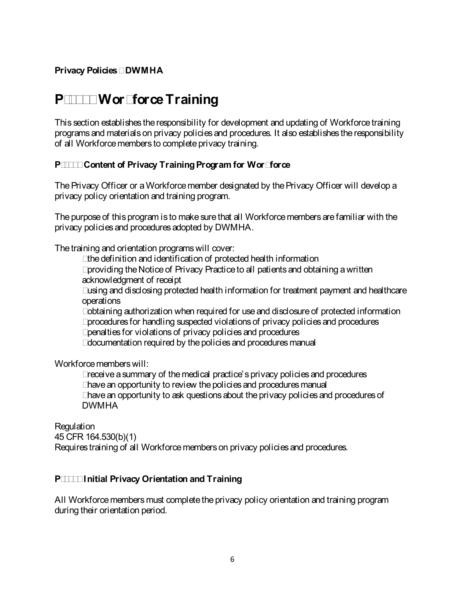### **P-1200 WorkforceTraining**

This section establishes the responsibility for development and updating of Workforcetraining programs and materials on privacy policies and procedures. It also establishes the responsibility of all Workforce members to complete privacy training.

### **P-1210 Content of Privacy Training Program for Workforce**

The Privacy Officer or a Workforce member designated by the Privacy Officer will develop a privacy policy orientation and training program.

The purpose of this program is to make sure that all Workforcemembers are familiar with the privacy policies and procedures adopted by DWMHA.

The training and orientation programs will cover:

- the definition and identification of protected health information
- providing the Notice of Privacy Practice to all patients and obtaining a written acknowledgment of receipt
- using and disclosing protected health information for treatment payment and healthcare operations
- obtaining authorization when required for use and disclosure of protected information
- procedures for handling suspected violations of privacy policies and procedures
- penalties for violations of privacy policies and procedures
- documentation required by the policies and procedures manual

Workforce members will:

- receive a summary of the medical practice's privacy policies and procedures
- have an opportunity to review the policies and procedures manual
- have an opportunity to ask questions about the privacy policies and procedures of DWMHA

Regulation 45 CFR 164.530(b)(1) Requires training of all Workforce members on privacy policies and procedures.

### **P-1220 Initial Privacy Orientation and Training**

All Workforce members must complete the privacy policy orientation and training program during their orientation period.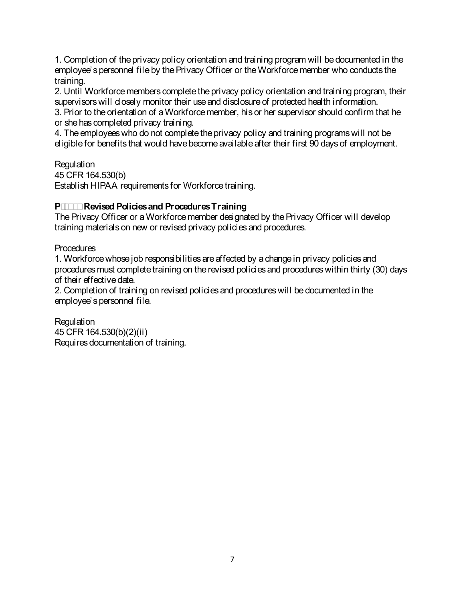1. Completion of the privacy policy orientation and training program will be documented in the employee's personnel file by the Privacy Officer or the Workforcemember who conducts the training.

2. Until Workforce members complete the privacy policy orientation and training program, their supervisors will closely monitor their use and disclosure of protected health information.

3. Prior to the orientation of a Workforcemember, his or her supervisor should confirm that he or she has completed privacy training.

4. The employees who do not complete the privacy policy and training programs will not be eligible for benefits that would have become available after their first 90 days of employment.

**Regulation** 45 CFR 164.530(b) Establish HIPAA requirements for Workforce training.

### **P-1230 Revised Policies and Procedures Training**

The Privacy Officer or a Workforce member designated by the Privacy Officer will develop training materials on new or revised privacy policies and procedures.

**Procedures** 

1. Workforcewhose job responsibilities are affected by a change in privacy policies and procedures must complete training on the revised policies and procedures within thirty (30) days of their effective date.

2. Completion of training on revised policies and procedures will be documented in the employee's personnel file.

Regulation 45 CFR 164.530(b)(2)(ii) Requires documentation of training.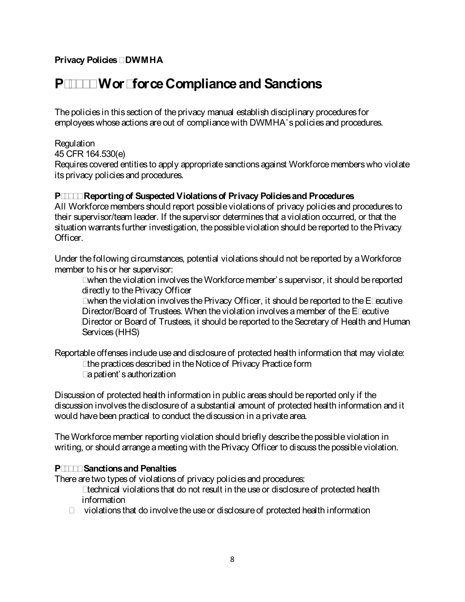### **P-1300 WorkforceCompliance and Sanctions**

The policies in this section of the privacy manual establish disciplinary procedures for employees whose actions are out of compliance with DWMHA's policies and procedures.

### **Regulation**

45 CFR 164.530(e)

Requires covered entities to apply appropriate sanctions against Workforce members who violate its privacy policies and procedures.

### **P-1310 Reporting of Suspected Violations of Privacy Policies and Procedures**

All Workforce members should report possible violations of privacy policies and procedures to their supervisor/team leader. If the supervisor determines that a violation occurred, or that the situation warrants further investigation, the possible violation should be reported to the Privacy Officer.

Under the following circumstances, potential violations should not be reported by a Workforce member to his or her supervisor:

• when the violation involves the Workforce member's supervisor, it should be reported directly to the Privacy Officer

• when the violation involves the Privacy Officer, it should be reported to the Executive Director/Board of Trustees. When the violation involves a member of the Executive Director or Board of Trustees, it should be reported to the Secretary of Health and Human Services (HHS)

Reportable offenses include use and disclosure of protected health information that may violate:

- the practices described in the Notice of Privacy Practice form
- a patient's authorization

Discussion of protected health information in public areas should be reported only if the discussion involves the disclosure of a substantial amount of protected health information and it would have been practical to conduct the discussion in a private area.

The Workforce member reporting violation should briefly describe the possible violation in writing, or should arrange a meeting with the Privacy Officer to discuss the possible violation.

### **P-1311 Sanctions and Penalties**

There are two types of violations of privacy policies and procedures:

- technical violations that do not result in the use or disclosure of protected health information
- violations that do involve the use or disclosure of protected health information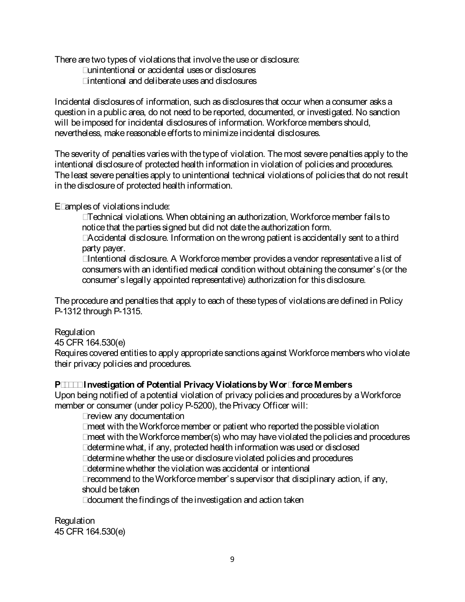There are two types of violations that involve the use or disclosure:

- unintentional or accidental uses or disclosures
- intentional and deliberate uses and disclosures

Incidental disclosures of information, such as disclosures that occur when a consumer asks a question in a public area, do not need to be reported, documented, or investigated. No sanction will be imposed for incidental disclosures of information. Workforce members should, nevertheless, make reasonable efforts to minimize incidental disclosures.

The severity of penalties varies with the type of violation. The most severe penalties apply to the intentional disclosure of protected health information in violation of policies and procedures. The least severe penalties apply to unintentional technical violations of policies that do not result in the disclosure of protected health information.

Examples of violations include:

- Technical violations. When obtaining an authorization, Workforce member fails to notice that the parties signed but did not date the authorization form.
- Accidental disclosure. Information on the wrong patient is accidentally sent to a third party payer.

• Intentional disclosure. A Workforce member provides a vendor representative a list of consumerswith an identified medical condition without obtaining the consumer's (or the consumer's legally appointed representative) authorization for this disclosure.

The procedure and penalties that apply to each of these types of violations are defined in Policy P-1312 through P-1315.

### **Regulation**

45 CFR 164.530(e)

Requires covered entities to apply appropriate sanctions against Workforce members who violate their privacy policies and procedures.

### **P-1312 Investigation of Potential Privacy Violations by Workforce Members**

Upon being notified of a potential violation of privacy policies and procedures by a Workforce member or consumer (under policy P-5200), the Privacy Officer will:

- review any documentation
- meet with the Workforce member or patient who reported the possible violation
- meet with the Workforce member(s) who may have violated the policies and procedures
- determine what, if any, protected health information was used or disclosed
- determine whether the use or disclosure violated policies and procedures
- determine whether the violation was accidental or intentional
- recommend to the Workforce member's supervisor that disciplinary action, if any, should be taken
- document the findings of the investigation and action taken

**Regulation** 45 CFR 164.530(e)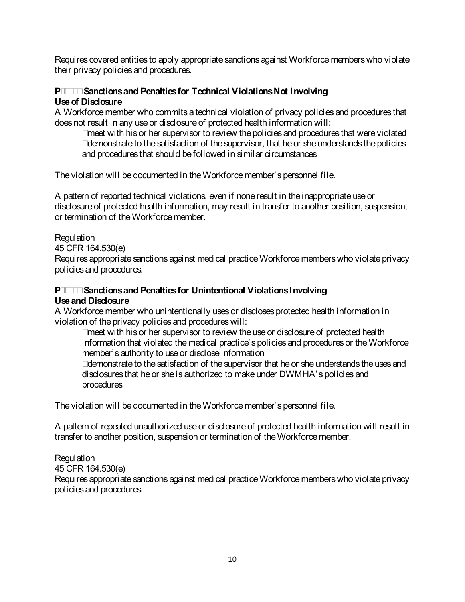Requires covered entities to apply appropriate sanctions against Workforce members who violate their privacy policies and procedures.

### **P-1313 Sanctions and Penalties for Technical Violations Not Involving Use of Disclosure**

A Workforce member who commits a technical violation of privacy policies and procedures that does not result in any use or disclosure of protected health information will:

- meet with his or her supervisor to review the policies and procedures that were violated
- demonstrate to the satisfaction of the supervisor, that he or she understands the policies and procedures that should be followed in similar circumstances

The violation will be documented in the Workforce member's personnel file.

A pattern of reported technical violations, even if none result in the inappropriate use or disclosure of protected health information, may result in transfer to another position, suspension, or termination of the Workforcemember.

### Regulation

45 CFR 164.530(e)

Requires appropriate sanctions against medical practice Workforce members who violate privacy policies and procedures.

### **P-1314 Sanctions and Penalties for Unintentional Violations Involving Use and Disclosure**

A Workforcemember who unintentionally uses or discloses protected health information in violation of the privacy policies and procedures will:

• meet with his or her supervisor to review the use or disclosure of protected health information that violated the medical practice's policies and procedures or the Workforce member's authority to use or disclose information

• demonstrate to the satisfaction of the supervisor that he or she understands the uses and disclosures that he or she is authorized to make under DWMHA's policies and procedures

The violation will be documented in the Workforce member's personnel file.

A pattern of repeated unauthorized use or disclosure of protected health information will result in transfer to another position, suspension or termination of the Workforcemember.

### Regulation

45 CFR 164.530(e)

Requires appropriate sanctions against medical practice Workforcemembers who violate privacy policies and procedures.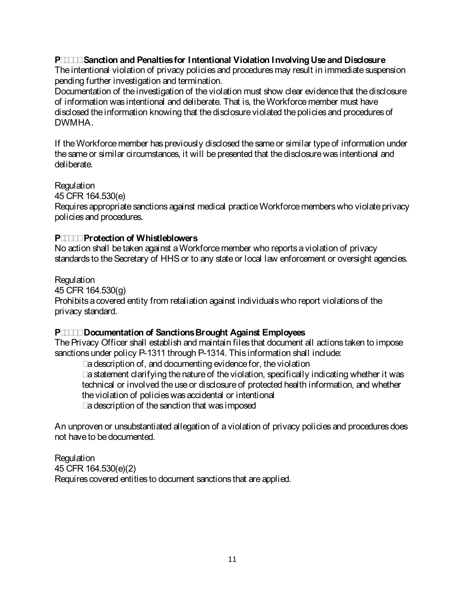### **P-1315 Sanction and Penalties for Intentional Violation Involving Useand Disclosure**

The intentional violation of privacy policies and procedures may result in immediate suspension pending further investigation and termination.

Documentation of the investigation of the violation must show clear evidence that the disclosure of information was intentional and deliberate. That is, the Workforcemember must have disclosed theinformation knowing that the disclosure violated the policies and procedures of DWMHA.

If the Workforce member has previously disclosed the same or similar type of information under the same or similar circumstances, it will be presented that the disclosure was intentional and deliberate.

Regulation

45 CFR 164.530(e)

Requires appropriate sanctions against medical practice Workforcemembers who violate privacy policies and procedures.

### **P-1316 Protection of Whistleblowers**

No action shall be taken against a Workforce member who reports a violation of privacy standards to the Secretary of HHS or to any state or local law enforcement or oversight agencies.

Regulation

45 CFR 164.530(g) Prohibits a covered entity from retaliation against individuals who report violations of the privacy standard.

### **P-1320 Documentation of Sanctions Brought Against Employees**

The Privacy Officer shall establish and maintain files that document all actions taken to impose sanctions under policy P-1311 through P-1314. This information shall include:

• a description of, and documenting evidence for, the violation

• a statement clarifying the nature of the violation, specifically indicating whether it was technical or involved the use or disclosure of protected health information, and whether the violation of policies was accidental or intentional

• a description of the sanction that was imposed

An unproven or unsubstantiated allegation of a violation of privacy policies and procedures does not have to be documented.

Regulation 45 CFR 164.530(e)(2) Requires covered entities to document sanctions that are applied.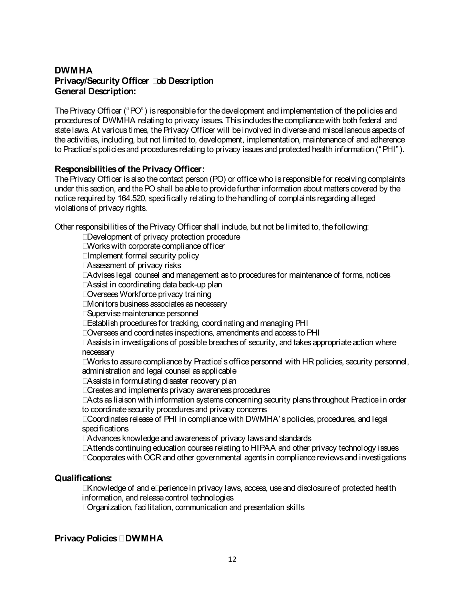### **DWMHA Privacy/Security Officer Job Description General Description:**

The Privacy Officer ("PO") is responsible for the development and implementation of the policies and procedures of DWMHA relating to privacy issues. This includes the compliance with both federal and state laws. At various times, the Privacy Officer will be involved in diverse and miscellaneous aspects of the activities, including, but not limited to, development, implementation, maintenance of and adherence to Practice's policies and procedures relating to privacy issues and protected health information ("PHI").

#### **Responsibilities of the Privacy Officer:**

The Privacy Officer is also the contact person (PO) or office who is responsible for receiving complaints under this section, and the PO shall be able to provide further information about matters covered by the notice required by 164.520, specifically relating to the handling of complaints regarding alleged violations of privacy rights.

Other responsibilities of the Privacy Officer shall include, but not be limited to, the following:

- Development of privacy protection procedure
- Works with corporate compliance officer
- Implement formal security policy
- Assessment of privacy risks
- Advises legal counsel and management as to procedures for maintenance of forms, notices
- Assist in coordinating data back-up plan
- Oversees Workforce privacy training
- Monitors business associates as necessary
- Supervise maintenance personnel
- Establish procedures for tracking, coordinating and managing PHI
- Oversees and coordinates inspections, amendments and access to PHI
- Assists in investigations of possible breaches of security, and takes appropriate action where necessary

• Works to assure compliance by Practice's office personnel with HR policies, security personnel, administration and legal counsel as applicable

- Assists in formulating disaster recovery plan
- Creates and implements privacy awareness procedures

• Acts as liaison with information systems concerning security plans throughout Practice in order to coordinate security procedures and privacy concerns

• Coordinates release of PHI in compliance with DWMHA's policies, procedures, and legal specifications

• Advances knowledge and awareness of privacy laws and standards

- Attends continuing education courses relating to HIPAA and other privacy technology issues
- Cooperates with OCR and other governmental agents in compliance reviews and investigations

#### **Qualifications:**

• Knowledge of and experience in privacy laws, access, use and disclosure of protected health information, and release control technologies

• Organization, facilitation, communication and presentation skills

#### **Privacy Policies – DWMHA**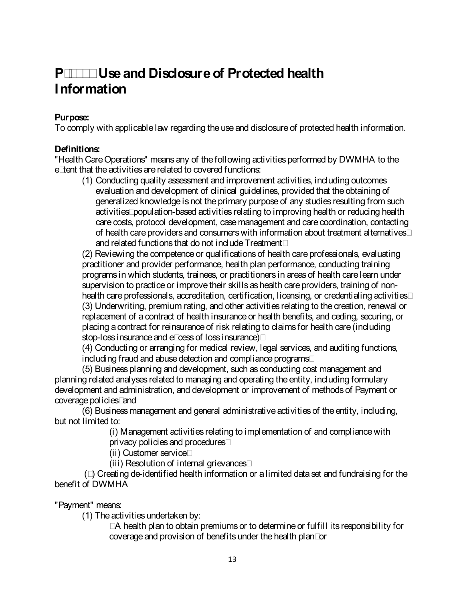### **P-2000 Use and Disclosure of Protected health Information**

### **Purpose:**

To comply with applicable law regarding the use and disclosure of protected health information.

### **Definitions:**

"Health Care Operations" means any of the following activities performed by DWMHA to the extent that the activities are related to covered functions:

(1) Conducting quality assessment and improvement activities, including outcomes evaluation and development of clinical guidelines, provided that the obtaining of generalized knowledge is not the primary purpose of any studies resulting from such activities; population-based activities relating to improving health or reducing health care costs, protocol development, case management and care coordination, contacting of health care providers and consumerswith information about treatment alternatives; and related functions that do not include Treatment:

(2) Reviewing the competence or qualifications of health care professionals, evaluating practitioner and provider performance, health plan performance, conducting training programs in which students, trainees, or practitioners in areas of health care learn under supervision to practice or improve their skills as health care providers, training of nonhealth care professionals, accreditation, certification, licensing, or credentialing activities; (3) Underwriting, premium rating, and other activities relating to the creation, renewal or replacement of a contract of health insurance or health benefits, and ceding, securing, or placing a contract for reinsurance of risk relating to claims for health care (including stop-loss insurance and excess of loss insurance);

(4) Conducting or arranging for medical review, legal services, and auditing functions, including fraud and abuse detection and compliance programs;

(5) Business planning and development, such as conducting cost management and planning related analyses related to managing and operating the entity, including formulary development and administration, and development or improvement of methods of Payment or coverage policies; and

(6) Business management and general administrative activities of the entity, including, but not limited to:

(i) Management activities relating to implementation of and compliance with privacy policies and procedures;

(ii) Customer service;

(iii) Resolution of internal grievances;

(7) Creating de-identified health information or a limited data set and fundraising for the benefit of DWMHA

"Payment" means:

(1) The activities undertaken by:

• A health plan to obtain premiums or to determine or fulfill its responsibility for coverage and provision of benefits under the health plan; or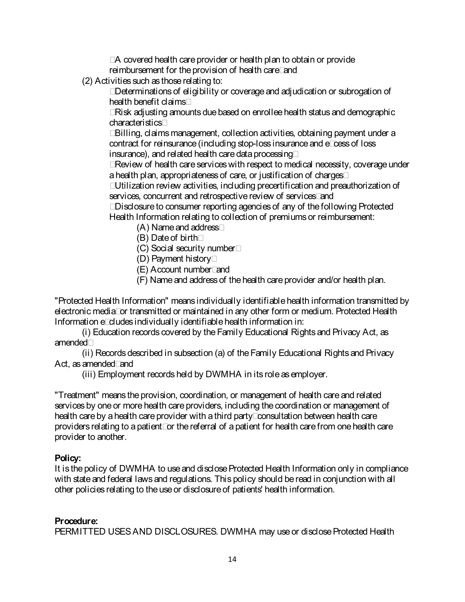• A covered health care provider or health plan to obtain or provide reimbursement for the provision of health care; and

(2) Activities such as those relating to:

• Determinations of eligibility or coverage and adjudication or subrogation of health benefit claims;

• Risk adjusting amounts due based on enrollee health status and demographic characteristics;

• Billing, claims management, collection activities, obtaining payment under a contract for reinsurance (including stop-loss insurance and excess of loss insurance), and related health care data processing;

• Review of health care services with respect to medical necessity, coverage under a health plan, appropriateness of care, or justification of charges;

• Utilization review activities, including precertification and preauthorization of services, concurrent and retrospective review of services; and

• Disclosure to consumer reporting agencies of any of the following Protected Health Information relating to collection of premiums or reimbursement:

(A) Name and address;

(B) Date of birth;

(C) Social security number;

- (D) Payment history;
- (E) Account number; and

(F) Name and address of the health care provider and/or health plan.

"Protected Health Information" means individually identifiable health information transmitted by electronic media; or transmitted or maintained in any other form or medium. Protected Health Information excludes individually identifiable health information in:

(i) Education records covered by the Family Educational Rights and Privacy Act, as amended;

(ii) Records described in subsection (a) of the Family Educational Rights and Privacy Act, as amended; and

(iii) Employment records held by DWMHA in its role as employer.

"Treatment" means the provision, coordination, or management of health care and related services by one or more health care providers, including the coordination or management of health care by a health care provider with a third party; consultation between health care providers relating to a patient; or the referral of a patient for health care from one health care provider to another.

### **Policy:**

It is the policy of DWMHA to use and disclose Protected Health Information only in compliance with state and federal laws and regulations. This policy should be read in conjunction with all other policies relating to the use or disclosure of patients' health information.

### **Procedure:**

PERMITTED USES AND DISCLOSURES. DWMHA may use or disclose Protected Health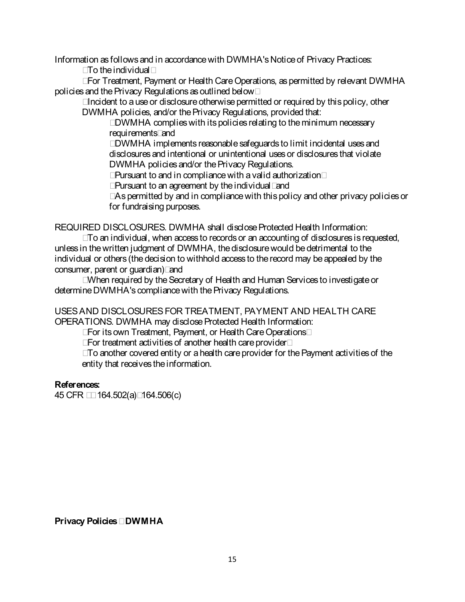Information as follows and in accordance with DWMHA's Notice of Privacy Practices:

• To the individual;

• For Treatment, Payment or Health Care Operations, as permitted by relevant DWMHA policies and the Privacy Regulations as outlined below;

• Incident to a use or disclosure otherwise permitted or required by this policy, other DWMHA policies, and/or the Privacy Regulations, provided that:

• DWMHA complies with its policies relating to the minimum necessary requirements; and

• DWMHA implements reasonable safeguards to limit incidental uses and disclosures and intentional or unintentional uses or disclosures that violate DWMHA policies and/or the Privacy Regulations.

• Pursuant to and in compliance with a valid authorization;

• Pursuant to an agreement by the individual; and

• As permitted by and in compliance with this policy and other privacy policies or for fundraising purposes.

REQUIRED DISCLOSURES. DWMHA shall disclose Protected Health Information:

• To an individual, when access to records or an accounting of disclosures is requested, unless in the written judgment of DWMHA, the disclosure would be detrimental to the individual or others (the decision to withhold access to therecord may be appealed by the consumer, parent or guardian); and

• When required by the Secretary of Health and Human Services to investigate or determine DWMHA's compliance with the Privacy Regulations.

USES AND DISCLOSURES FOR TREATMENT, PAYMENT AND HEALTH CARE OPERATIONS. DWMHA may disclose Protected Health Information:

• For its own Treatment, Payment, or Health Care Operations;

• For treatment activities of another health care provider;

• To another covered entity or a health care provider for the Payment activities of the entity that receives the information.

### **References:**

45 CFR §§ 164.502(a); 164.506(c)

**Privacy Policies – DWMHA**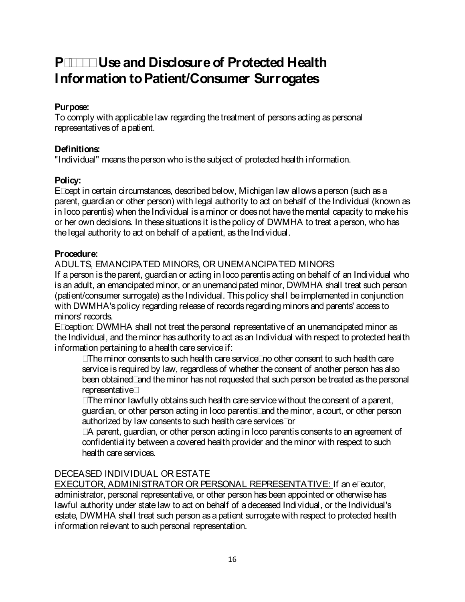### **P-2010 Use and Disclosure of Protected Health Information to Patient/Consumer Surrogates**

### **Purpose:**

To comply with applicable law regarding the treatment of persons acting as personal representatives of a patient.

### **Definitions:**

"Individual" means the person who is the subject of protected health information.

### **Policy:**

Except in certain circumstances, described below, Michigan law allows a person (such as a parent, guardian or other person) with legal authority to act on behalf of the Individual (known as in loco parentis) when the Individual is a minor or does not have the mental capacity to make his or her own decisions. In these situations it is the policy of DWMHA to treat a person, who has the legal authority to act on behalf of a patient, as the Individual.

### **Procedure:**

### ADULTS, EMANCIPATED MINORS, OR UNEMANCIPATED MINORS

If a person is the parent, guardian or acting in loco parentis acting on behalf of an Individual who is an adult, an emancipated minor, or an unemancipated minor, DWMHA shall treat such person (patient/consumer surrogate) as the Individual. This policy shall be implemented in conjunction with DWMHA's policy regarding release of records regarding minors and parents' access to minors' records.

Exception: DWMHA shall not treat the personal representative of an unemancipated minor as the Individual, and the minor has authority to act as an Individual with respect to protected health information pertaining to a health care service if:

• The minor consents to such health care service; no other consent to such health care service is required by law, regardless of whether the consent of another person has also been obtained; and the minor has not requested that such person be treated as the personal representative;

• The minor lawfully obtains such health care service without the consent of aparent, guardian, or other person acting in loco parentis; and the minor, a court, or other person authorized by law consents to such health care services; or

• A parent, guardian, or other person acting in loco parentis consents to an agreement of confidentiality between a covered health provider and the minor with respect to such health care services.

### DECEASED INDIVIDUAL OR ESTATE

EXECUTOR, ADMINISTRATOR OR PERSONAL REPRESENTATIVE: If an executor, administrator, personal representative, or other person has been appointed or otherwise has lawful authority under state law to act on behalf of a deceased Individual, or the Individual's estate, DWMHA shall treat such person as a patient surrogate with respect to protected health information relevant to such personal representation.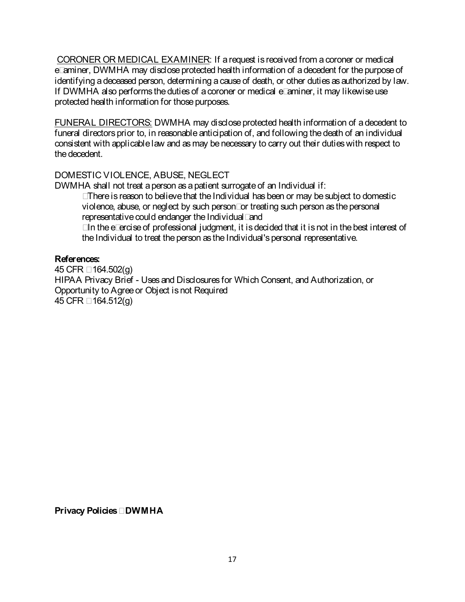CORONER OR MEDICAL EXAMINER: If a request is received from a coroner or medical examiner, DWMHA may disclose protected health information of a decedent for the purpose of identifying a deceased person, determining a cause of death, or other duties as authorized by law. If DWMHA also performs the duties of a coroner or medical examiner, it may likewise use protected health information for those purposes.

FUNERAL DIRECTORS: DWMHA may disclose protected health information of adecedent to funeral directors prior to, in reasonable anticipation of, and following the death of an individual consistent with applicable law and as may be necessary to carry out their duties with respect to the decedent.

### DOMESTIC VIOLENCE, ABUSE, NEGLECT

DWMHA shall not treat a person as a patient surrogate of an Individual if:

• There is reason to believe that the Individual has been or may be subject to domestic violence, abuse, or neglect by such person; or treating such person as thepersonal representative could endanger the Individual; and

• In the exercise of professional judgment, it is decided that it is not in the best interest of the Individual to treat the person as the Individual's personal representative.

### **References:**

45 CFR § 164.502(g) HIPAA Privacy Brief - Uses and Disclosures for Which Consent, and Authorization, or Opportunity to Agree or Object is not Required 45 CFR § 164.512(g)

**Privacy Policies – DWMHA**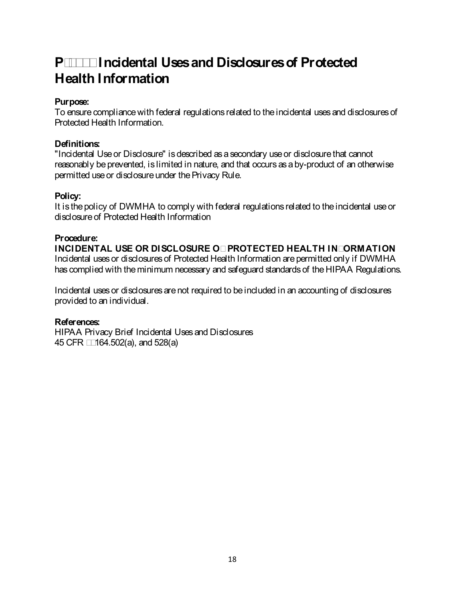### **P-2020 Incidental Uses and Disclosures of Protected Health Information**

### **Purpose:**

To ensure compliance with federal regulations related to the incidental uses and disclosures of Protected Health Information.

### **Definitions:**

"Incidental Use or Disclosure" is described as a secondary use or disclosure that cannot reasonably be prevented, is limited in nature, and that occurs as a by-product of an otherwise permitted use or disclosure under the Privacy Rule.

### **Policy:**

It is the policy of DWMHA to comply with federal regulations related to the incidental use or disclosure of Protected Health Information

### **Procedure:**

**INCIDENTAL USE OR DISCLOSURE OF PROTECTED HEALTH INFORMATION** Incidental uses or disclosures of Protected Health Information are permitted only if DWMHA has complied with the minimum necessary and safeguard standards of the HIPAA Regulations.

Incidental uses or disclosures are not required to be included in an accounting of disclosures provided to an individual.

### **References:**

HIPAA Privacy Brief Incidental Uses and Disclosures 45 CFR §§164.502(a), and 528(a)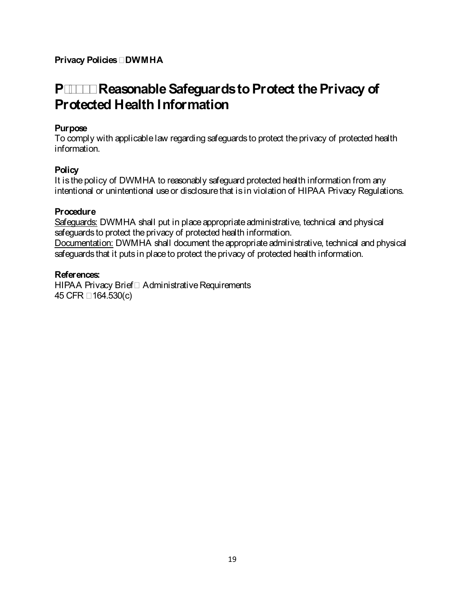### **P-2030 Reasonable Safeguards to Protect the Privacy of Protected Health Information**

### **Purpose**

To comply with applicable law regarding safeguards to protect the privacy of protected health information.

### **Policy**

It is the policy of DWMHA to reasonably safeguard protected health information from any intentional or unintentional use or disclosure that is in violation of HIPAA Privacy Regulations.

### **Procedure**

Safeguards: DWMHA shall put in place appropriate administrative, technical and physical safeguards to protect the privacy of protected health information. Documentation: DWMHA shall document the appropriate administrative, technical and physical safeguards that it puts in place to protect the privacy of protected health information.

### **References:**

HIPAA Privacy Brief—Administrative Requirements 45 CFR § 164.530(c)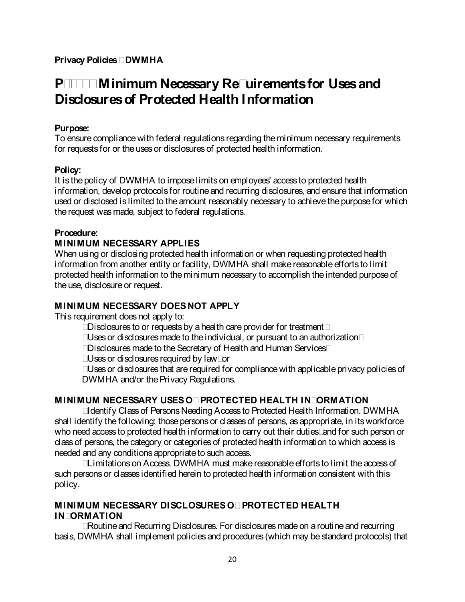### **P-2040 Minimum Necessary Requirements for Uses and Disclosures of Protected Health Information**

### **Purpose:**

To ensure compliance with federal regulations regarding the minimum necessary requirements for requests for or the uses or disclosures of protected health information.

### **Policy:**

It is the policy of DWMHA to impose limits on employees' access to protected health information, develop protocols for routine and recurring disclosures, and ensure that information used or disclosed is limited to the amount reasonably necessary to achieve the purpose for which the request was made, subject to federal regulations.

### **Procedure:**

### **MINIMUM NECESSARY APPLIES**

When using or disclosing protected health information or when requesting protected health information from another entity or facility, DWMHA shall make reasonable efforts to limit protected health information to the minimum necessary to accomplish the intended purpose of the use, disclosure or request.

### **MINIMUM NECESSARY DOES NOT APPLY**

This requirement does not apply to:

- Disclosures to or requests by a health care provider for treatment;
- Uses or disclosures made to the individual, or pursuant to an authorization;
- Disclosures made to the Secretary of Health and Human Services;
- Uses or disclosures required by law; or
- Uses or disclosures that are required for compliance with applicable privacy policies of DWMHA and/or the Privacy Regulations.

### **MINIMUM NECESSARY USES OF PROTECTED HEALTH INFORMATION**

**•** Identify Class of Persons Needing Access to Protected Health Information. DWMHA shall identify the following: those persons or classes of persons, as appropriate, in its workforce who need access to protected health information to carry out their duties; and for such person or class of persons, the category or categories of protected health information to which access is needed and any conditions appropriate to such access.

• Limitations on Access. DWMHA must make reasonable efforts to limit the access of such persons or classes identified herein to protected health information consistent with this policy.

### **MINIMUM NECESSARY DISCLOSURES OF PROTECTED HEALTH INFORMATION**

**•** Routine and Recurring Disclosures. For disclosures made on a routine and recurring basis, DWMHA shall implement policies and procedures (which may be standard protocols) that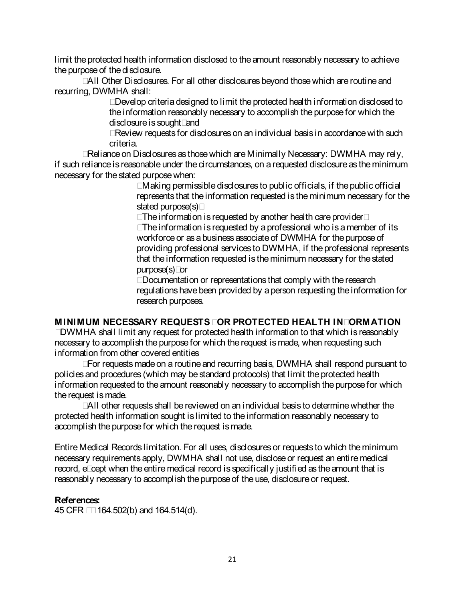limit the protected health information disclosed to the amount reasonably necessary to achieve the purpose of the disclosure.

• All Other Disclosures. For all other disclosures beyond those which are routine and recurring, DWMHA shall:

• Develop criteria designed to limit the protected health information disclosed to the information reasonably necessary to accomplish the purpose for which the disclosure is sought; and

• Review requests for disclosures on an individual basis in accordance with such criteria.

• Reliance on Disclosures as those which are Minimally Necessary: DWMHA may rely, if such reliance is reasonable under the circumstances, on arequested disclosure as the minimum necessary for the stated purposewhen:

• Making permissible disclosures to public officials, if the public official represents that the information requested is the minimum necessary for the stated purpose(s);

• The information is requested by another health care provider;

• The information is requested by a professional who is a member of its workforce or as a business associate of DWMHA for the purpose of providing professional services to DWMHA, if the professional represents that the information requested is theminimum necessary for the stated purpose(s); or

• Documentation or representations that comply with the research regulations have been provided by a person requesting the information for research purposes.

### **MINIMUM NECESSARY REQUESTS FOR PROTECTED HEALTH INFORMATION**

**•** DWMHA shall limit any request for protected health information to that which is reasonably necessary to accomplish the purpose for which the request is made, when requesting such information from other covered entities

• For requests made on a routine and recurring basis, DWMHA shall respond pursuant to policies and procedures (which may be standard protocols) that limit the protected health information requested to the amount reasonably necessary to accomplish the purpose for which the request is made.

• All other requests shall be reviewed on an individual basis to determine whether the protected health information sought is limited to the information reasonably necessary to accomplish the purpose for which the request is made.

Entire Medical Records limitation. For all uses, disclosures or requests to which the minimum necessary requirements apply, DWMHA shall not use, disclose or request an entire medical record, except when the entire medical record is specifically justified as the amount that is reasonably necessary to accomplish the purpose of the use, disclosure or request.

### **References:**

45 CFR §§ 164.502(b) and 164.514(d).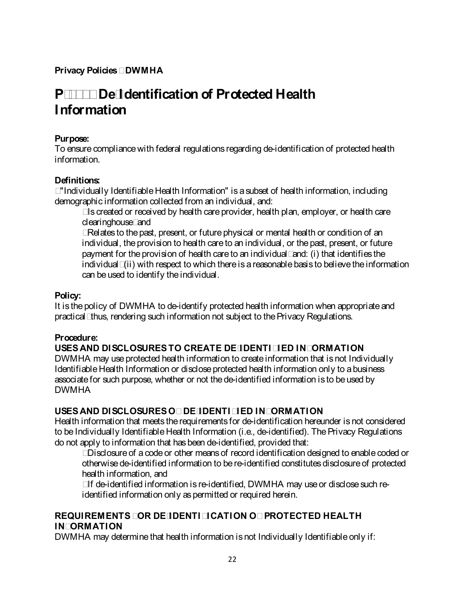### **P-2050 De-Identification of Protected Health Information**

### **Purpose:**

To ensure compliance with federal regulations regarding de-identification of protected health information.

### **Definitions:**

**•** "Individually Identifiable Health Information" is a subset of health information, including demographic information collected from an individual, and:

• Is created or received by health care provider, health plan, employer, or health care clearinghouse; and

• Relates to the past, present, or future physical or mental health or condition of an individual, the provision to health care to an individual, or the past, present, or future payment for the provision of health care to an individual; and: (i) that identifies the individual; (ii) with respect to which there is a reasonable basis to believe the information can be used to identify the individual.

### **Policy:**

It is the policy of DWMHA to de-identify protected health information when appropriate and practical; thus, rendering such information not subject to the Privacy Regulations.

### **Procedure:**

### **USES AND DISCLOSURES TO CREATE DE-IDENTIFIED INFORMATION**

DWMHA may use protected health information to create information that is not Individually Identifiable Health Information or disclose protected health information only to a business associate for such purpose, whether or not the de-identified information is to be used by DWMHA

### **USES AND DISCLOSURES OF DE-IDENTIFIED INFORMATION**

Health information that meets the requirements for de-identification hereunder is not considered to be Individually Identifiable Health Information (i.e., de-identified). The Privacy Regulations do not apply to information that has been de-identified, provided that:

• Disclosure of a code or other means of record identification designed to enable coded or otherwise de-identified information to be re-identified constitutes disclosure of protected health information, and

• If de-identified information is re-identified, DWMHA may use or disclose such reidentified information only as permitted or required herein.

### **REQUIREMENTS FOR DE-IDENTIFICATION OF PROTECTED HEALTH INFORMATION**

DWMHA may determine that health information is not Individually Identifiable only if: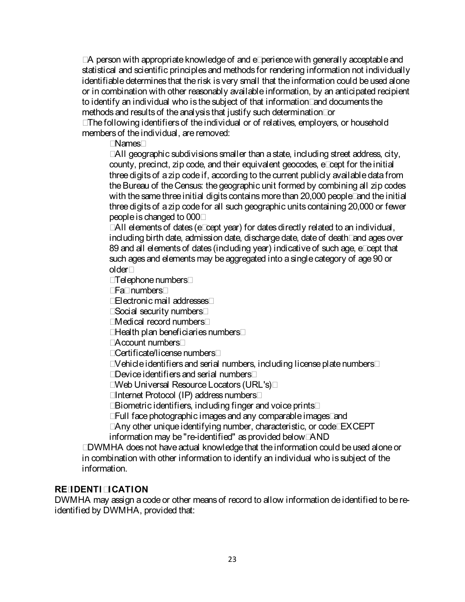• A person with appropriate knowledge of and experience with generally acceptable and statistical and scientific principles and methods for rendering information not individually identifiable determines that the risk is very small that the information could be used alone or in combination with other reasonably available information, by an anticipated recipient to identify an individual who is the subject of that information; and documents the methods and results of the analysis that justify such determination; or

• The following identifiers of the individual or of relatives, employers, or household members of the individual, are removed:

• Names;

• All geographic subdivisions smaller than a state, including street address, city, county, precinct, zip code, and their equivalent geocodes, except for the initial three digits of a zip code if, according to the current publicly available data from the Bureau of the Census: the geographic unit formed by combining all zip codes with the same three initial digits contains more than 20,000 people; and the initial three digits of a zip code for all such geographic units containing 20,000 or fewer people is changed to 000;

• All elements of dates (except year) for dates directly related to an individual, including birth date, admission date, discharge date, date of death; and ages over 89 and all elements of dates (including year) indicative of such age, except that such ages and elements may be aggregated into a single category of age 90 or older;

- Telephone numbers;
- Fax numbers;
- Electronic mail addresses;
- Social security numbers;
- Medical record numbers;
- Health plan beneficiaries numbers;
- Account numbers;
- Certificate/license numbers;
- Vehicle identifiers and serial numbers, including license plate numbers;
- Device identifiers and serial numbers;
- Web Universal Resource Locators (URL's);
- Internet Protocol (IP) address numbers;
- Biometric identifiers, including finger and voice prints;
- Full face photographic images and any comparable images; and
- Any other unique identifying number, characteristic, or code; EXCEPT information may be "re-identified" as provided below; AND

• DWMHA does not have actual knowledge that the information could be used alone or in combination with other information to identify an individual who is subject of the information.

### **RE-IDENTIFICATION**

DWMHA may assign a code or other means of record to allow information de identified to be reidentified by DWMHA, provided that: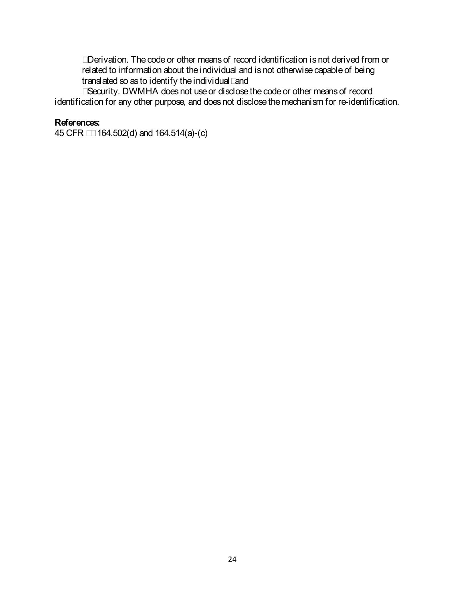• Derivation. The code or other means of record identification is not derived from or related to information about the individual and is not otherwise capable of being translated so as to identify the individual; and

• Security. DWMHA does not use or disclose the code or other means of record identification for any other purpose, and does not disclose the mechanism for re-identification.

### **References:**

45 CFR §§ 164.502(d) and 164.514(a)-(c)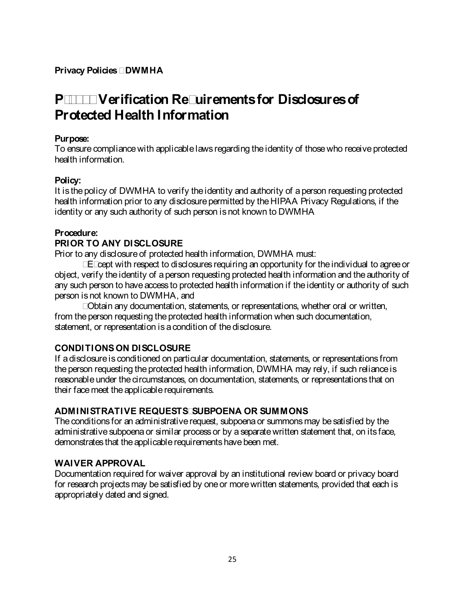### **P-2100 Verification Requirements for Disclosures of Protected Health Information**

### **Purpose:**

To ensure compliance with applicable laws regarding the identity of those who receive protected health information.

### **Policy:**

It is the policy of DWMHA to verify the identity and authority of a person requesting protected health information prior to any disclosure permitted by the HIPAA Privacy Regulations, if the identity or any such authority of such person is not known to DWMHA

### **Procedure:**

### **PRIOR TO ANY DISCLOSURE**

Prior to any disclosure of protected health information, DWMHA must:

• Except with respect to disclosures requiring an opportunity for the individual to agree or object, verify the identity of a person requesting protected health information and the authority of any such person to have access to protected health information if the identity or authority of such person is not known to DWMHA, and

• Obtain any documentation, statements, or representations, whether oral or written, from the person requesting the protected health information when such documentation, statement, or representation is a condition of the disclosure.

### **CONDITIONS ON DISCLOSURE**

If a disclosure is conditioned on particular documentation, statements, or representations from the person requesting the protected health information, DWMHA may rely, if such reliance is reasonable under the circumstances, on documentation, statements, or representations that on their face meet the applicable requirements.

### **ADMINISTRATIVE REQUESTS, SUBPOENA OR SUMMONS**

The conditions for an administrative request, subpoena or summons may be satisfied by the administrative subpoena or similar process or by a separate written statement that, on its face, demonstrates that the applicable requirements have been met.

### **WAIVER APPROVAL**

Documentation required for waiver approval by an institutional review board or privacy board for research projects may be satisfied by one or more written statements, provided that each is appropriately dated and signed.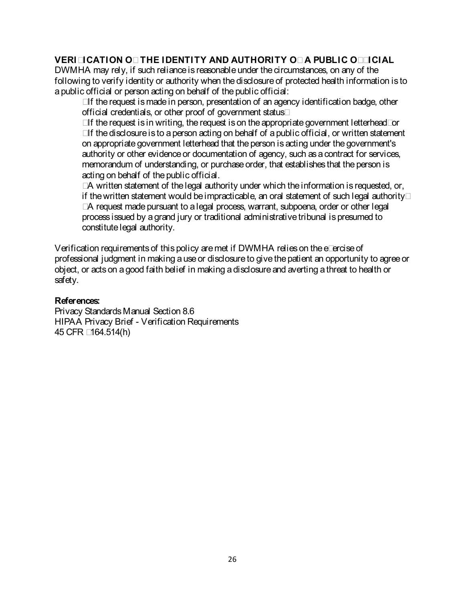### **VERIFICATION OF THE IDENTITY AND AUTHORITY OF A PUBLIC OFFICIAL**

DWMHA may rely, if such reliance is reasonable under the circumstances, on any of the following to verify identity or authority when the disclosure of protected health information is to a public official or person acting on behalf of the public official:

• If the request is made in person, presentation of an agency identification badge, other official credentials, or other proof of government status;

• If the request is in writing, the request is on the appropriate government letterhead; or

• If the disclosure is to a person acting on behalf of a public official, or written statement on appropriate government letterhead that the person is acting under the government's authority or other evidence or documentation of agency, such as acontract for services, memorandum of understanding, or purchase order, that establishes that the person is acting on behalf of the public official.

• A written statement of the legal authority under which the information is requested, or, if the written statement would be impracticable, an oral statement of such legal authority;

• A request made pursuant to a legal process, warrant, subpoena, order or other legal process issued by a grand jury or traditional administrative tribunal is presumed to constitute legal authority.

Verification requirements of this policy are met if DWMHA relies on the exercise of professional judgment in making a use or disclosure to give the patient an opportunity to agree or object, or acts on a good faith belief in making a disclosure and averting a threat to health or safety.

### **References:**

Privacy Standards Manual Section 8.6 HIPAA Privacy Brief - Verification Requirements 45 CFR §164.514(h)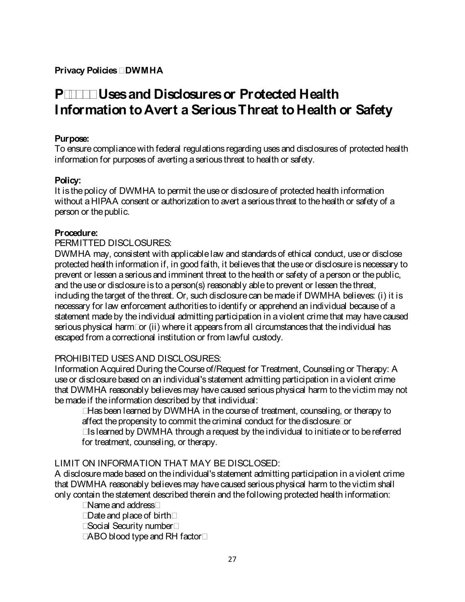### **P-2200 Uses and Disclosures or Protected Health Information to Avert a Serious Threat to Health or Safety**

### **Purpose:**

To ensure compliance with federal regulations regarding uses and disclosures of protected health information for purposes of averting a serious threat to health or safety.

### **Policy:**

It is the policy of DWMHA to permit the use or disclosure of protected health information without a HIPAA consent or authorization to avert a serious threat to the health or safety of a person or the public.

### **Procedure:**

### PERMITTED DISCLOSURES:

DWMHA may, consistent with applicable law and standards of ethical conduct, use or disclose protected health information if, in good faith, it believes that the use or disclosure is necessary to prevent or lessen a serious and imminent threat to the health or safety of a person or the public, and the use or disclosure is to a person(s) reasonably able to prevent or lessen the threat, including the target of the threat. Or, such disclosure can be made if DWMHA believes: (i) it is necessary for law enforcement authorities to identify or apprehend an individual because of a statement made by the individual admitting participation in a violent crime that may have caused serious physical harm; or (ii) where it appears from all circumstances that the individual has escaped from a correctional institution or from lawful custody.

### PROHIBITED USES AND DISCLOSURES:

Information Acquired During the Course of/Request for Treatment, Counseling or Therapy: A use or disclosure based on an individual's statement admitting participation in a violent crime that DWMHA reasonably believes may have caused serious physical harm to the victim may not be made if the information described by that individual:

- Has been learned by DWMHA in the course of treatment, counseling, or therapy to affect the propensity to commit the criminal conduct for the disclosure; or
- Is learned by DWMHA through a request by the individual to initiate or to be referred for treatment, counseling, or therapy.

### LIMIT ON INFORMATION THAT MAY BE DISCLOSED:

A disclosure made based on the individual's statement admitting participation in a violent crime that DWMHA reasonably believes may have caused serious physical harm to the victim shall only contain the statement described therein and the following protected health information:

- Name and address;
- Date and place of birth;
- Social Security number;
- ABO blood type and RH factor;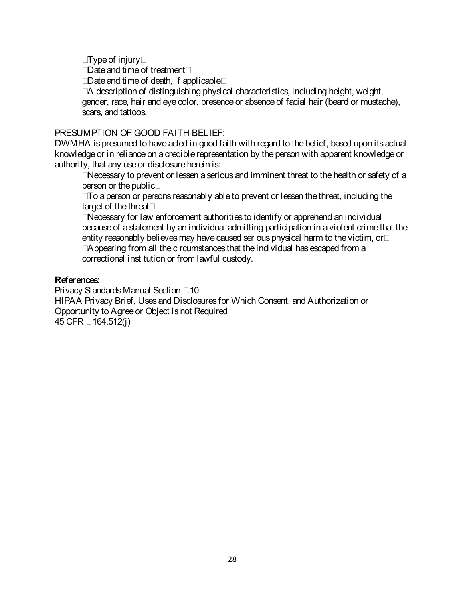- Type of injury;
- Date and time of treatment;
- Date and time of death, if applicable;

• A description of distinguishing physical characteristics, including height, weight, gender, race, hair and eye color, presence or absence of facial hair (beard or mustache), scars, and tattoos.

### PRESUMPTION OF GOOD FAITH BELIEF:

DWMHA is presumed to have acted in good faith with regard to the belief, based upon its actual knowledge or in reliance on a credible representation by the person with apparent knowledge or authority, that any use or disclosure herein is:

• Necessary to prevent or lessen a serious and imminent threat to the health or safety of a person or the public;

• To a person or persons reasonably able to prevent or lessen the threat, including the target of the threat;

• Necessary for law enforcement authorities to identify or apprehend an individual because of a statement by an individual admitting participation in a violent crimethat the entity reasonably believes may have caused serious physical harm to the victim, or;

• Appearing from all the circumstances that the individual has escaped from a correctional institution or from lawful custody.

### **References:**

Privacy Standards Manual Section 7.10 HIPAA Privacy Brief, Uses and Disclosures for Which Consent, and Authorization or Opportunity to Agree or Object is not Required 45 CFR § 164.512(j)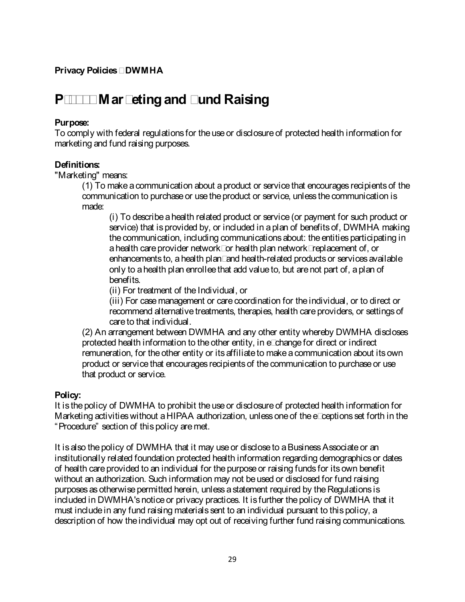### **P-2300 Marketing and Fund Raising**

#### **Purpose:**

To comply with federal regulations for the use or disclosure of protected health information for marketing and fund raising purposes.

#### **Definitions:**

"Marketing" means:

(1) To make a communication about a product or service that encourages recipients of the communication to purchase or use the product or service, unless the communication is made:

(i) To describe a health related product or service (or payment for such product or service) that is provided by, or included in a plan of benefits of, DWMHA making the communication, including communications about: the entities participating in a health care provider network; or health plan network; replacement of, or enhancements to, a health plan; and health-related products or services available only to a health plan enrollee that add value to, but are not part of, a plan of benefits.

(ii) For treatment of the Individual, or

(iii) For case management or care coordination for the individual, or to direct or recommend alternative treatments, therapies, health care providers, or settings of care to that individual.

(2) An arrangement between DWMHA and any other entity whereby DWMHA discloses protected health information to the other entity, in exchange for direct or indirect remuneration, for the other entity or its affiliate to make a communication about its own product or service that encourages recipients of the communication to purchase or use that product or service.

### **Policy:**

It is the policy of DWMHA to prohibit the use or disclosure of protected health information for Marketing activities without a HIPAA authorization, unless one of the exceptions set forth in the "Procedure" section of this policy are met.

It is also the policy of DWMHA that it may use or disclose to a Business Associate or an institutionally related foundation protected health information regarding demographics or dates of health care provided to an individual for the purpose or raising funds for its own benefit without an authorization. Such information may not be used or disclosed for fund raising purposes as otherwise permitted herein, unless a statement required by the Regulations is included in DWMHA's notice or privacy practices. It is further the policy of DWMHA that it must include in any fund raising materials sent to an individual pursuant to this policy, a description of how the individual may opt out of receiving further fund raising communications.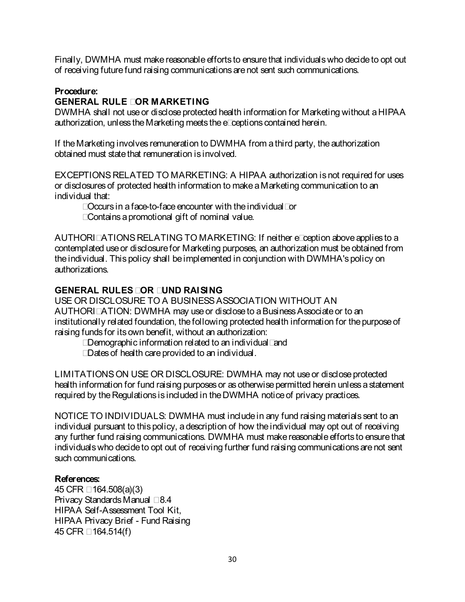Finally, DWMHA must make reasonable efforts to ensure that individuals who decide to opt out of receiving future fund raising communications are not sent such communications.

### **Procedure:**

### **GENERAL RULE FOR MARKETING**

DWMHA shall not use or disclose protected health information for Marketing without a HIPAA authorization, unless the Marketing meets the exceptions contained herein.

If the Marketing involves remuneration to DWMHA from a third party, the authorization obtained must state that remuneration is involved.

EXCEPTIONS RELATED TO MARKETING: A HIPAA authorization is not required for uses or disclosures of protected health information to make a Marketing communication to an individual that:

- Occurs in a face-to-face encounter with the individual; or
- Contains a promotional gift of nominal value.

AUTHORIZATIONS RELATING TO MARKETING: If neither exception above applies to a contemplated use or disclosure for Marketing purposes, an authorization must be obtained from the individual. This policy shall be implemented in conjunction with DWMHA's policy on authorizations.

### **GENERAL RULES FOR FUND RAISING**

USE OR DISCLOSURE TO A BUSINESS ASSOCIATION WITHOUT AN AUTHORIZATION: DWMHA may use or disclose to a Business Associate or to an institutionally related foundation, the following protected health information for the purpose of raising funds for its own benefit, without an authorization:

- Demographic information related to an individual; and
- Dates of health care provided to an individual.

LIMITATIONS ON USE OR DISCLOSURE: DWMHA may not use or disclose protected health information for fund raising purposes or as otherwise permitted herein unless a statement required by the Regulations is included in the DWMHA notice of privacy practices.

NOTICE TO INDIVIDUALS: DWMHA must include in any fund raising materials sent to an individual pursuant to this policy, a description of how the individual may opt out of receiving any further fund raising communications. DWMHA must make reasonable efforts to ensure that individuals who decide to opt out of receiving further fund raising communications are not sent such communications.

### **References:**

45 CFR § 164.508(a)(3) Privacy Standards Manual § 8.4 HIPAA Self-Assessment Tool Kit, HIPAA Privacy Brief - Fund Raising 45 CFR § 164.514(f)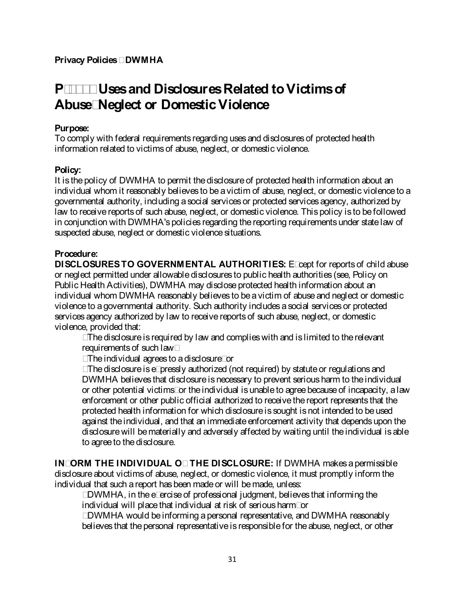### **P-2400 Uses and Disclosures Related to Victims of Abuse, Neglect or Domestic Violence**

### **Purpose:**

To comply with federal requirements regarding uses and disclosures of protected health information related to victims of abuse, neglect, or domestic violence.

### **Policy:**

It is the policy of DWMHA to permit the disclosure of protected health information about an individual whom it reasonably believes to be a victim of abuse, neglect, or domestic violence to a governmental authority, including a social services or protected services agency, authorized by law to receive reports of such abuse, neglect, or domestic violence. This policy is to be followed in conjunction with DWMHA's policies regarding the reporting requirements under statelaw of suspected abuse, neglect or domestic violence situations.

### **Procedure:**

**DISCLOSURES TO GOVERNMENTAL AUTHORITIES:** Except for reports of child abuse or neglect permitted under allowable disclosures to public health authorities (see, Policy on Public Health Activities), DWMHA may disclose protected health information about an individual whom DWMHA reasonably believes to be a victim of abuse and neglect or domestic violence to a governmental authority. Such authority includes a social services or protected services agency authorized by law to receive reports of such abuse, neglect, or domestic violence, provided that:

- The disclosure is required by law and complies with and is limited to the relevant requirements of such law;
- The individual agrees to a disclosure; or

• The disclosure is expressly authorized (not required) by statute or regulations and DWMHA believes that disclosure is necessary to prevent serious harm to theindividual or other potential victims; or the individual is unable to agree becauseof incapacity, a law enforcement or other public official authorized to receive thereport represents that the protected health information for which disclosure is sought is not intended to be used against the individual, and that an immediate enforcement activity that depends upon the disclosure will be materially and adversely affected by waiting until the individual is able to agree to the disclosure.

**INFORM THE INDIVIDUAL OF THE DISCLOSURE:** If DWMHA makes a permissible disclosure about victims of abuse, neglect, or domestic violence, it must promptly inform the individual that such a report has been made or will be made, unless:

**•** DWMHA, in the exercise of professional judgment, believes that informing the individual will place that individual at risk of serious harm; or

• DWMHA would be informing a personal representative, and DWMHA reasonably believes that the personal representative is responsible for the abuse, neglect, or other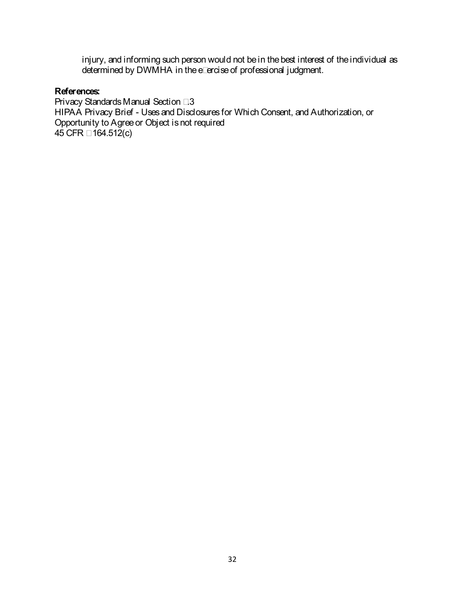injury, and informing such person would not be in the best interest of the individual as determined by DWMHA in the exercise of professional judgment.

#### **References:**

Privacy Standards Manual Section 7.3 HIPAA Privacy Brief - Uses and Disclosures for Which Consent, and Authorization, or Opportunity to Agree or Object is not required 45 CFR § 164.512(c)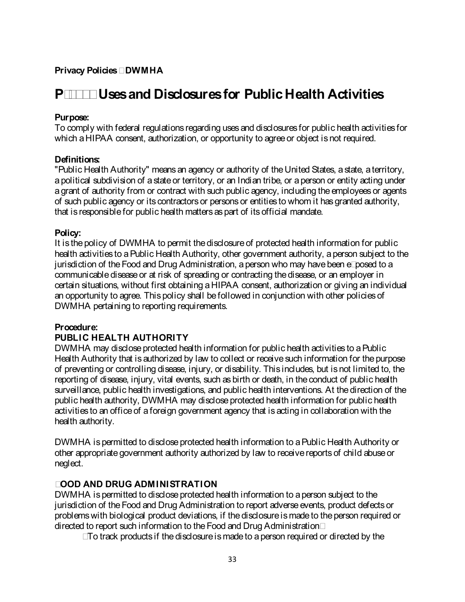### **P-2500 Uses and Disclosures for Public Health Activities**

#### **Purpose:**

To comply with federal regulations regarding uses and disclosures for public health activities for which a HIPAA consent, authorization, or opportunity to agree or object is not required.

#### **Definitions:**

"Public Health Authority" means an agency or authority of the United States, a state, a territory, apolitical subdivision of a state or territory, or an Indian tribe, or a person or entity acting under agrant of authority from or contract with such public agency, including the employees or agents of such public agency or its contractors or persons or entities to whom it has granted authority, that is responsible for public health matters as part of its official mandate.

#### **Policy:**

It is the policy of DWMHA to permit the disclosure of protected health information for public health activities to a Public Health Authority, other government authority, a person subject to the jurisdiction of the Food and Drug Administration, a person who may have been exposed to a communicable disease or at risk of spreading or contracting the disease, or an employer in certain situations, without first obtaining a HIPAA consent, authorization or giving an individual an opportunity to agree. This policy shall be followed in conjunction with other policies of DWMHA pertaining to reporting requirements.

### **Procedure:**

### **PUBLIC HEALTH AUTHORITY**

DWMHA may disclose protected health information for public health activities to a Public Health Authority that is authorized by law to collect or receive such information for the purpose of preventing or controlling disease, injury, or disability. This includes, but is not limited to, the reporting of disease, injury, vital events, such as birth or death, in the conduct of public health surveillance, public health investigations, and public health interventions. At the direction of the public health authority, DWMHA may disclose protected health information for public health activities to an office of a foreign government agency that is acting in collaboration with the health authority.

DWMHA is permitted to disclose protected health information to a Public Health Authority or other appropriate government authority authorized by law to receive reports of child abuse or neglect.

### **FOOD AND DRUG ADMINISTRATION**

DWMHA is permitted to disclose protected health information to a person subject to the jurisdiction of the Food and Drug Administration to report adverse events, product defects or problems with biological product deviations, if the disclosure is made to the person required or directed to report such information to the Food and Drug Administration;

• To track products if the disclosure is made to a person required or directed by the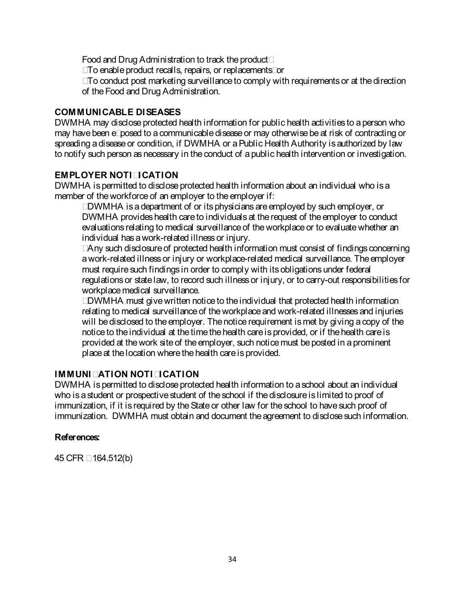Food and Drug Administration to track the product;

- To enable product recalls, repairs, or replacements; or
- To conduct post marketing surveillance to comply with requirements or at the direction of the Food and Drug Administration.

## **COMMUNICABLE DISEASES**

DWMHA may disclose protected health information for public health activities to a person who may have been exposed to a communicable disease or may otherwise be at risk of contracting or spreading a disease or condition, if DWMHA or a Public Health Authority is authorized by law to notify such person as necessary in the conduct of a public health intervention or investigation.

## **EMPLOYER NOTIFICATION**

DWMHA is permitted to disclose protected health information about an individual who is a member of the workforce of an employer to the employer if:

• DWMHA is a department of or its physicians are employed by such employer, or DWMHA provides health care to individuals at the request of the employer to conduct evaluations relating to medical surveillance of the workplace or to evaluate whether an individual has a work-related illness or injury.

• Any such disclosure of protected health information must consist of findings concerning a work-related illness or injury or workplace-related medical surveillance. The employer must require such findings in order to comply with its obligations under federal regulations or state law, to record such illness or injury, or to carry-out responsibilities for workplace medical surveillance.

• DWMHA must give written notice to the individual that protected health information relating to medical surveillance of the workplace and work-related illnesses and injuries will be disclosed to the employer. The notice requirement is met by giving a copy of the notice to the individual at the time the health care is provided, or if the health care is provided at the work site of the employer, such notice must be posted in a prominent place at the location where the health care is provided.

#### **IMMUNIZATION NOTIFICATION**

DWMHA is permitted to disclose protected health information to a school about an individual who is a student or prospective student of the school if the disclosure is limited to proof of immunization, if it is required by the State or other law for the school to have such proof of immunization. DWMHA must obtain and document the agreement to disclose such information.

#### **References:**

45 CFR § 164.512(b)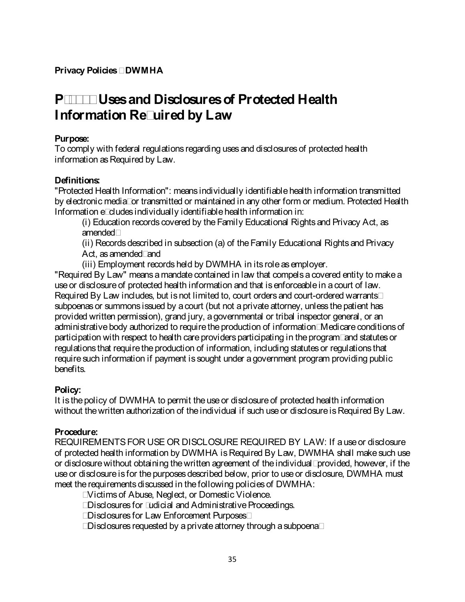# **P-2510 Uses and Disclosures of Protected Health Information Required by Law**

## **Purpose:**

To comply with federal regulations regarding uses and disclosures of protected health information as Required by Law.

## **Definitions:**

"Protected Health Information": means individually identifiable health information transmitted by electronic media; or transmitted or maintained in any other form or medium. Protected Health Information excludes individually identifiable health information in:

(i) Education records covered by the Family Educational Rights and Privacy Act, as amended;

(ii) Records described in subsection (a) of the Family Educational Rights and Privacy Act, as amended; and

(iii) Employment records held by DWMHA in its role as employer.

"Required By Law" means a mandate contained in law that compels a covered entity to make a use or disclosure of protected health information and that is enforceable in a court of law. Required By Law includes, but is not limited to, court orders and court-ordered warrants; subpoenas or summons issued by a court (but not a private attorney, unless the patient has provided written permission), grand jury, a governmental or tribal inspector general, or an administrative body authorized to require the production of information; Medicare conditions of participation with respect to health care providers participating in the program; and statutes or regulations that require the production of information, including statutes or regulations that require such information if payment is sought under a government program providing public benefits.

## **Policy:**

It is the policy of DWMHA to permit the use or disclosure of protected health information without the written authorization of the individual if such use or disclosure is Required By Law.

## **Procedure:**

REQUIREMENTS FOR USE OR DISCLOSURE REQUIRED BY LAW: If a use or disclosure of protected health information by DWMHA is Required By Law, DWMHA shall make such use or disclosure without obtaining the written agreement of the individual; provided, however, if the use or disclosure is for the purposes described below, prior to use or disclosure, DWMHA must meet the requirements discussed in the following policies of DWMHA:

- Victims of Abuse, Neglect, or Domestic Violence.
- Disclosures for Judicial and Administrative Proceedings.
- Disclosures for Law Enforcement Purposes;
- Disclosures requested by a private attorney through a subpoena;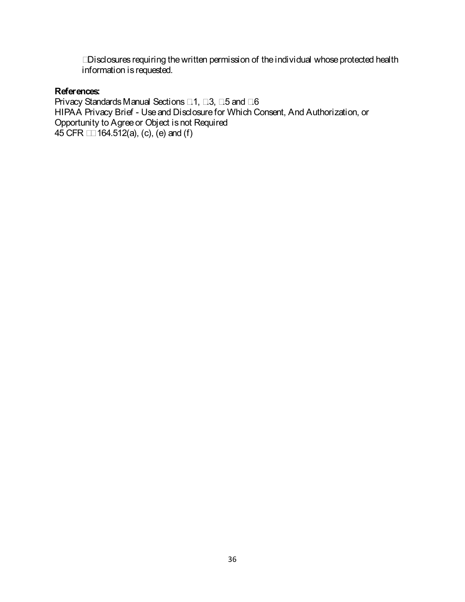• Disclosures requiring the written permission of the individual whose protected health information is requested.

#### **References:**

Privacy Standards Manual Sections 7.1, 7.3, 7.5 and 7.6 HIPAA Privacy Brief - Use and Disclosure for Which Consent, And Authorization, or Opportunity to Agree or Object is not Required 45 CFR §§ 164.512(a), (c), (e) and (f)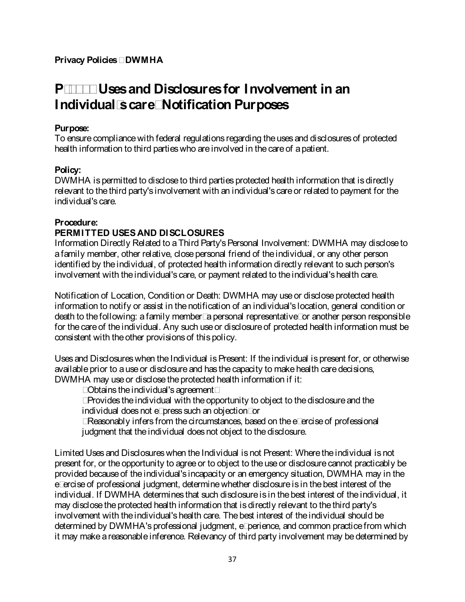# **P-2600 Uses and Disclosures for Involvement in an Individual's care; Notification Purposes**

## **Purpose:**

To ensure compliance with federal regulations regarding the uses and disclosures of protected health information to third parties who are involved in the care of a patient.

## **Policy:**

DWMHA is permitted to disclose to third parties protected health information that is directly relevant to the third party's involvement with an individual's care or related to payment for the individual's care.

## **Procedure:**

## **PERMITTED USES AND DISCLOSURES**

Information Directly Related to a Third Party's Personal Involvement: DWMHA may disclose to a family member, other relative, close personal friend of the individual, or any other person identified by the individual, of protected health information directly relevant to such person's involvement with the individual's care, or payment related to the individual's health care.

Notification of Location, Condition or Death: DWMHA may use or disclose protected health information to notify or assist in the notification of an individual's location, general condition or death to the following: a family member; a personal representative; or another person responsible for the care of the individual. Any such use or disclosure of protected health information must be consistent with the other provisions of this policy.

Uses and Disclosures when the Individual is Present: If the individual is present for, or otherwise available prior to a use or disclosure and has the capacity to make health care decisions, DWMHA may use or disclose the protected health information if it:

- Obtains the individual's agreement;
- Provides the individual with the opportunity to object to the disclosure and the individual does not express such an objection; or
- Reasonably infers from the circumstances, based on the exercise of professional judgment that the individual does not object to the disclosure.

Limited Uses and Disclosures when the Individual is not Present: Where the individual is not present for, or the opportunity to agree or to object to the use or disclosure cannot practicably be provided because of the individual's incapacity or an emergency situation, DWMHA may in the exercise of professional judgment, determine whether disclosure is in the best interest of the individual. If DWMHA determines that such disclosure is in the best interest of the individual, it may disclose the protected health information that is directly relevant to the third party's involvement with the individual's health care. The best interest of the individual should be determined by DWMHA's professional judgment, experience, and common practice from which it may make a reasonable inference. Relevancy of third party involvement may be determined by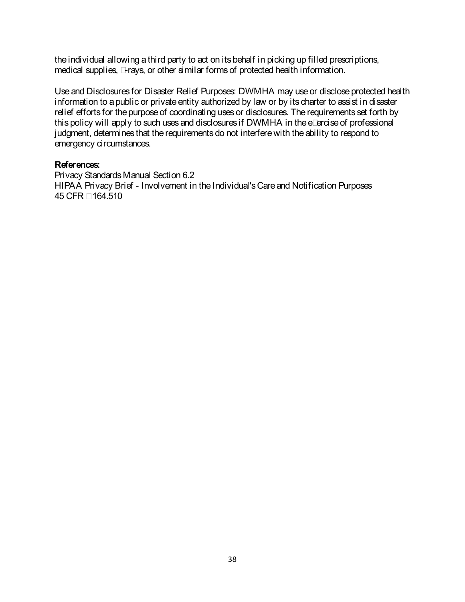the individual allowing a third party to act on its behalf in picking up filled prescriptions, medical supplies, x-rays, or other similar forms of protected health information.

Use and Disclosures for Disaster Relief Purposes: DWMHA may use or disclose protected health information to a public or private entity authorized by law or by its charter to assist in disaster relief efforts for the purpose of coordinating uses or disclosures. The requirements set forth by this policy will apply to such uses and disclosures if DWMHA in the exercise of professional judgment, determines that the requirements do not interfere with the ability to respond to emergency circumstances.

#### **References:**

Privacy Standards Manual Section 6.2 HIPAA Privacy Brief - Involvement in the Individual's Care and Notification Purposes 45 CFR § 164.510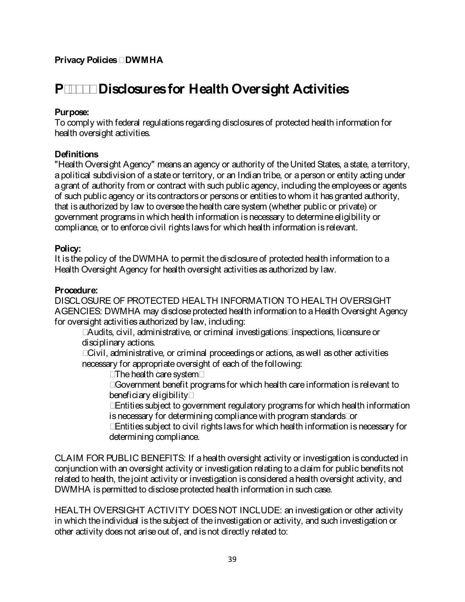# **P-2700 Disclosures for Health Oversight Activities**

## **Purpose:**

To comply with federal regulations regarding disclosures of protected health information for health oversight activities.

## **Definitions**

"Health Oversight Agency" means an agency or authority of the United States, a state, a territory, a political subdivision of a state or territory, or an Indian tribe, or a person or entity acting under a grant of authority from or contract with such public agency, including the employees or agents of such public agency or its contractors or persons or entities to whom it has granted authority, that is authorized by law to oversee the health care system (whether public or private) or government programs in which health information is necessary to determine eligibility or compliance, or to enforce civil rights laws for which health information is relevant.

#### **Policy:**

It is the policy of the DWMHA to permit the disclosure of protected health information to a Health Oversight Agency for health oversight activities as authorized by law.

#### **Procedure:**

DISCLOSURE OF PROTECTED HEALTH INFORMATION TO HEALTH OVERSIGHT AGENCIES: DWMHA may disclose protected health information to a Health Oversight Agency for oversight activities authorized by law, including:

- Audits, civil, administrative, or criminal investigations; inspections, licensure or disciplinary actions.
- Civil, administrative, or criminal proceedings or actions, as well as other activities necessary for appropriate oversight of each of the following:
	- The health care system;
	- Government benefit programs for which health care information is relevant to beneficiary eligibility;
	- Entities subject to government regulatory programs for which health information is necessary for determining compliance with program standards; or
	- Entities subject to civil rights laws for which health information is necessary for determining compliance.

CLAIM FOR PUBLIC BENEFITS: If a health oversight activity or investigation is conducted in conjunction with an oversight activity or investigation relating to a claim for public benefits not related to health, the joint activity or investigation is considered a health oversight activity, and DWMHA is permitted to disclose protected health information in such case.

HEALTH OVERSIGHT ACTIVITY DOES NOT INCLUDE: an investigation or other activity in which the individual is the subject of the investigation or activity, and such investigation or other activity does not arise out of, and is not directly related to: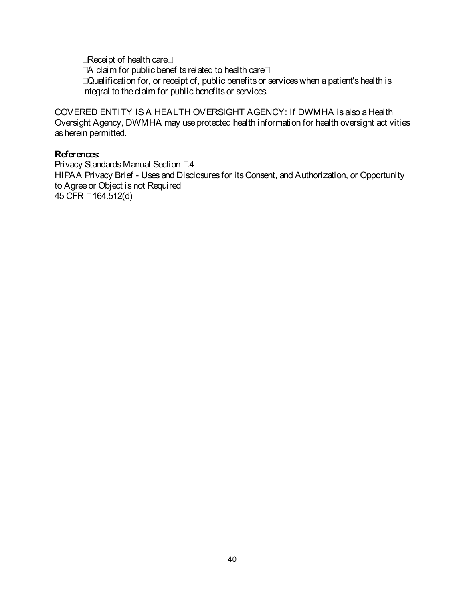- Receipt of health care;
- A claim for public benefits related to health care;
- Qualification for, or receipt of, public benefits or services when a patient's health is integral to the claim for public benefits or services.

COVERED ENTITY IS A HEALTH OVERSIGHT AGENCY: If DWMHA is also a Health Oversight Agency, DWMHA may use protected health information for health oversight activities as herein permitted.

#### **References:**

Privacy Standards Manual Section 7.4 HIPAA Privacy Brief - Uses and Disclosures for its Consent, and Authorization, or Opportunity to Agree or Object is not Required 45 CFR § 164.512(d)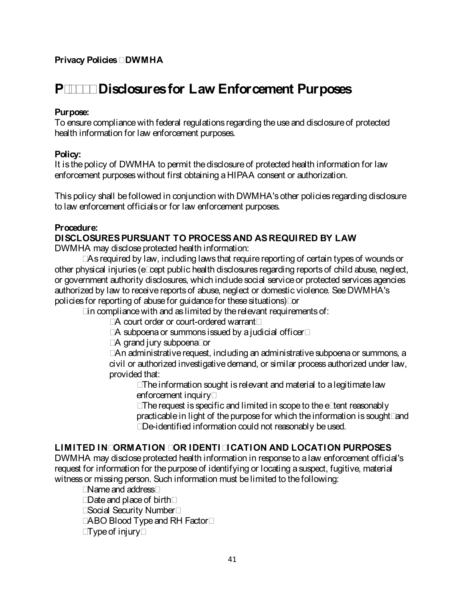# **P-2710 Disclosures for Law Enforcement Purposes**

## **Purpose:**

To ensure compliance with federal regulations regarding the use and disclosure of protected health information for law enforcement purposes.

## **Policy:**

It is the policy of DWMHA to permit the disclosure of protected health information for law enforcement purposes without first obtaining a HIPAA consent or authorization.

This policy shall be followed in conjunction with DWMHA's other policies regarding disclosure to law enforcement officials or for law enforcement purposes.

## **Procedure:**

## **DISCLOSURES PURSUANT TO PROCESS AND AS REQUIRED BY LAW**

DWMHA may disclose protected health information:

• As required by law, including laws that require reporting of certain types of wounds or other physical injuries (except public health disclosures regarding reports of child abuse, neglect, or government authority disclosures, which include social service or protected services agencies authorized by law to receive reports of abuse, neglect or domestic violence. See DWMHA's policies for reporting of abuse for guidance for these situations); or

• in compliance with and as limited by the relevant requirements of:

- A court order or court-ordered warrant;
- A subpoena or summons issued by a judicial officer;
- A grand jury subpoena; or

• An administrative request, including an administrative subpoena or summons, a civil or authorized investigative demand, or similar process authorized under law, provided that:

• The information sought is relevant and material to a legitimate law enforcement inquiry;

• The request is specific and limited in scope to the extent reasonably practicable in light of the purpose for which theinformation is sought; and • De-identified information could not reasonably be used.

## **LIMITED INFORMATION FOR IDENTIFICATION AND LOCATION PURPOSES**

DWMHA may disclose protected health information in response to a law enforcement official's request for information for the purpose of identifying or locating a suspect, fugitive, material witness or missing person. Such information must be limited to the following:

- Name and address;
- Date and place of birth;
- Social Security Number;
- ABO Blood Type and RH Factor;
- Type of injury;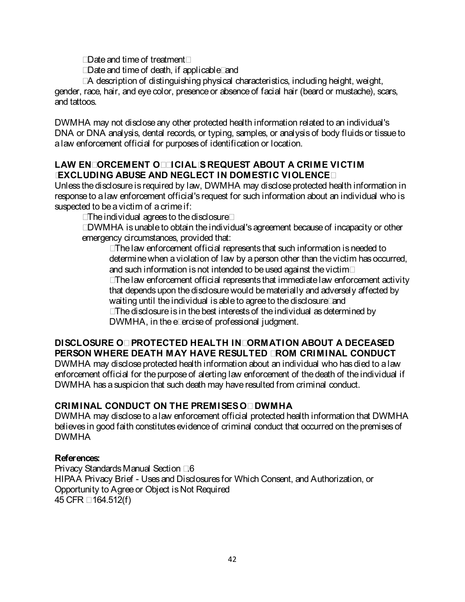- Date and time of treatment;
- Date and time of death, if applicable; and
- A description of distinguishing physical characteristics, including height, weight,

gender, race, hair, and eye color, presence or absence of facial hair (beard or mustache), scars, and tattoos.

DWMHA may not disclose any other protected health information related to an individual's DNA or DNA analysis, dental records, or typing, samples, or analysis of body fluids or tissue to a law enforcement official for purposes of identification or location.

## **LAW ENFORCEMENT OFFICIAL'S REQUEST ABOUT A CRIME VICTIM (EXCLUDING ABUSE AND NEGLECT IN DOMESTIC VIOLENCE)**

Unless the disclosure is required by law, DWMHA may disclose protected health information in response to a law enforcement official's request for such information about an individual who is suspected to be a victim of a crime if:

- The individual agrees to the disclosure;
- DWMHA is unable to obtain the individual's agreement because of incapacity or other emergency circumstances, provided that:

• The law enforcement official represents that such information is needed to determine when a violation of law by a person other than the victim has occurred, and such information is not intended to be used against the victim;

• The law enforcement official represents that immediate law enforcement activity that depends upon the disclosure would be materially and adversely affected by waiting until the individual is able to agree to the disclosure; and

• The disclosure is in the best interests of the individual as determined by DWMHA, in the exercise of professional judgment.

## **DISCLOSURE OF PROTECTED HEALTH INFORMATION ABOUT A DECEASED PERSON WHERE DEATH MAY HAVE RESULTED FROM CRIMINAL CONDUCT**

DWMHA may disclose protected health information about an individual who has died to a law enforcement official for the purpose of alerting law enforcement of the death of the individual if DWMHA has a suspicion that such death may have resulted from criminal conduct.

## **CRIMINAL CONDUCT ON THE PREMISES OF DWMHA**

DWMHA may disclose to a law enforcement official protected health information that DWMHA believes in good faith constitutes evidence of criminal conduct that occurred on the premises of DWMHA

## **References:**

Privacy Standards Manual Section 7.6 HIPAA Privacy Brief - Uses and Disclosures for Which Consent, and Authorization, or Opportunity to Agree or Object is Not Required 45 CFR § 164.512(f)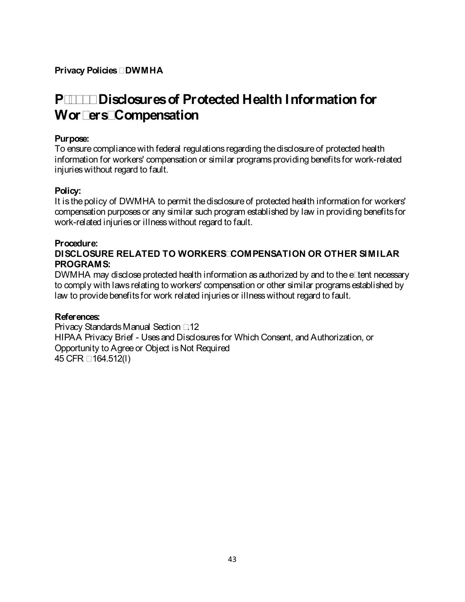# **P-2800 Disclosures of Protected Health Information for Workers' Compensation**

#### **Purpose:**

To ensure compliance with federal regulations regarding the disclosure of protected health information for workers' compensation or similar programs providing benefits for work-related injuries without regard to fault.

#### **Policy:**

It is the policy of DWMHA to permit the disclosure of protected health information for workers' compensation purposes or any similar such program established by law in providing benefits for work-related injuries or illness without regard to fault.

#### **Procedure:**

## **DISCLOSURE RELATED TO WORKERS' COMPENSATION OR OTHER SIMILAR PROGRAMS:**

DWMHA may disclose protected health information as authorized by and to the extent necessary to comply with laws relating to workers' compensation or other similar programs established by law to provide benefits for work related injuries or illness without regard to fault.

#### **References:**

Privacy Standards Manual Section 7.12 HIPAA Privacy Brief - Uses and Disclosures for Which Consent, and Authorization, or Opportunity to Agree or Object is Not Required 45 CFR § 164.512(l)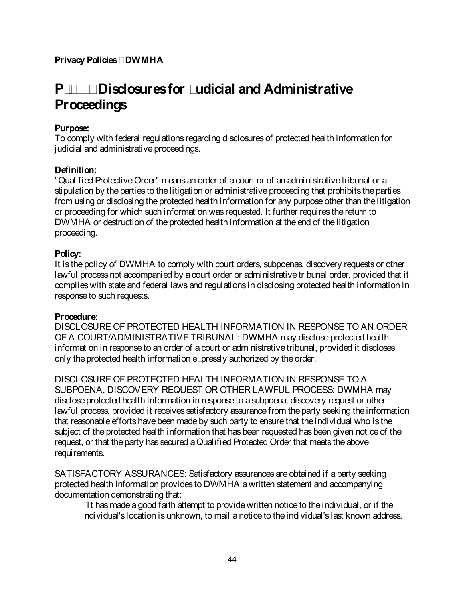# **P-2810 Disclosures for Judicial and Administrative Proceedings**

## **Purpose:**

To comply with federal regulations regarding disclosures of protected health information for judicial and administrative proceedings.

## **Definition:**

"Qualified Protective Order" means an order of a court or of an administrative tribunal or a stipulation by the parties to the litigation or administrative proceeding that prohibits the parties from using or disclosing the protected health information for any purpose other than the litigation or proceeding for which such information was requested. It further requires the return to DWMHA or destruction of the protected health information at the end of the litigation proceeding.

#### **Policy:**

It is the policy of DWMHA to comply with court orders, subpoenas, discovery requests or other lawful process not accompanied by a court order or administrative tribunal order, provided that it complies with state and federal laws and regulations in disclosing protected health information in response to such requests.

#### **Procedure:**

DISCLOSURE OF PROTECTED HEALTH INFORMATION IN RESPONSE TO AN ORDER OF A COURT/ADMINISTRATIVE TRIBUNAL: DWMHA may disclose protected health information in response to an order of a court or administrative tribunal, provided it discloses only the protected health information expressly authorized by the order.

DISCLOSURE OF PROTECTED HEALTH INFORMATION IN RESPONSE TO A SUBPOENA, DISCOVERY REQUEST OR OTHER LAWFUL PROCESS: DWMHA may disclose protected health information in response to a subpoena, discovery request or other lawful process, provided it receives satisfactory assurance from the party seeking the information that reasonable efforts have been made by such party to ensure that the individual who is the subject of the protected health information that has been requested has been given notice of the request, or that the party has secured a Qualified Protected Order that meets the above requirements.

SATISFACTORY ASSURANCES: Satisfactory assurances are obtained if a party seeking protected health information provides to DWMHA a written statement and accompanying documentation demonstrating that:

• It has made a good faith attempt to provide written notice to the individual, or if the individual's location is unknown, to mail a notice to the individual's last known address.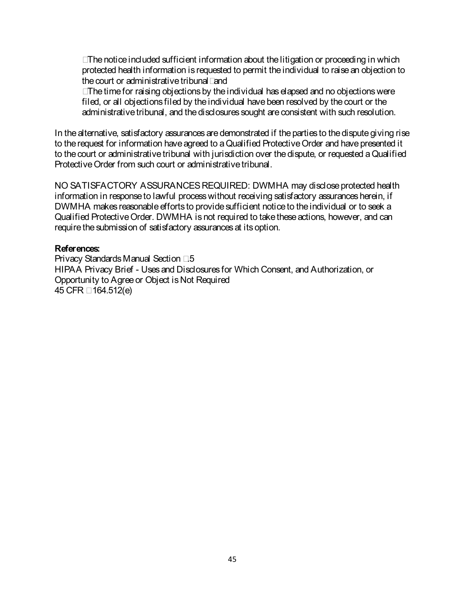• The notice included sufficient information about the litigation or proceeding in which protected health information is requested to permit the individual to raise an objection to the court or administrative tribunal; and

• The time for raising objections by the individual has elapsed and no objectionswere filed, or all objections filed by the individual have been resolved by the court or the administrative tribunal, and the disclosures sought are consistent with such resolution.

In the alternative, satisfactory assurances are demonstrated if the parties to the dispute giving rise to the request for information have agreed to a Qualified Protective Order and have presented it to the court or administrative tribunal with jurisdiction over the dispute, or requested a Qualified Protective Order from such court or administrative tribunal.

NO SATISFACTORY ASSURANCES REQUIRED: DWMHA may disclose protected health information in response to lawful process without receiving satisfactory assurances herein, if DWMHA makes reasonable efforts to provide sufficient notice to the individual or to seek a Qualified Protective Order. DWMHA is not required to take these actions, however, and can require the submission of satisfactory assurances at its option.

#### **References:**

Privacy Standards Manual Section 7.5 HIPAA Privacy Brief - Uses and Disclosures for Which Consent, and Authorization, or Opportunity to Agree or Object is Not Required 45 CFR § 164.512(e)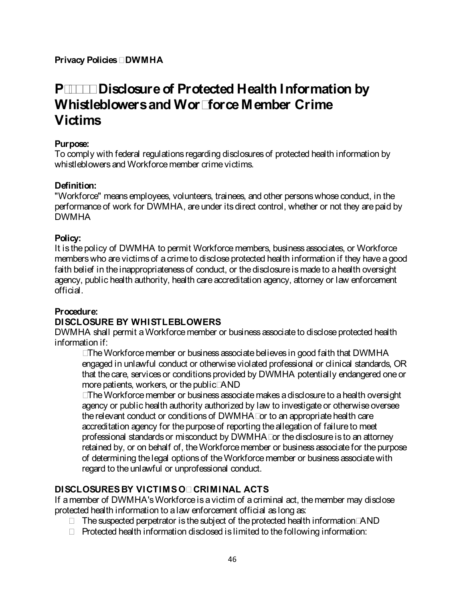# **P-2900 Disclosure of Protected Health Information by Whistleblowers and Workforce Member Crime Victims**

## **Purpose:**

To comply with federal regulations regarding disclosures of protected health information by whistleblowers and Workforce member crime victims.

# **Definition:**

"Workforce" means employees, volunteers, trainees, and other persons whose conduct, in the performance of work for DWMHA, are under its direct control, whether or not they are paid by DWMHA

# **Policy:**

It is the policy of DWMHA to permit Workforce members, business associates, or Workforce members who are victims of a crime to disclose protected health information if they have a good faith belief in the inappropriateness of conduct, or the disclosure is made to a health oversight agency, public health authority, health care accreditation agency, attorney or law enforcement official.

# **Procedure:**

# **DISCLOSURE BY WHISTLEBLOWERS**

DWMHA shall permit a Workforce member or business associate to disclose protected health information if:

• The Workforce member or business associate believes in good faith that DWMHA engaged in unlawful conduct or otherwise violated professional or clinical standards, OR that the care, services or conditions provided by DWMHA potentially endangered one or more patients, workers, or the public; AND

• The Workforce member or business associate makes a disclosure to a health oversight agency or public health authority authorized by law to investigate or otherwise oversee the relevant conduct or conditions of DWMHA; or to an appropriate health care accreditation agency for the purpose of reporting the allegation of failure to meet professional standards or misconduct by DWMHA; or the disclosure is to an attorney retained by, or on behalf of, the Workforce member or business associate for the purpose of determining the legal options of the Workforce member or business associate with regard to the unlawful or unprofessional conduct.

# **DISCLOSURES BY VICTIMS OF CRIMINAL ACTS**

If a member of DWMHA's Workforce is a victim of a criminal act, the member may disclose protected health information to a law enforcement official as long as:

- The suspected perpetrator is the subject of the protected health information; AND
- Protected health information disclosed is limited to the following information: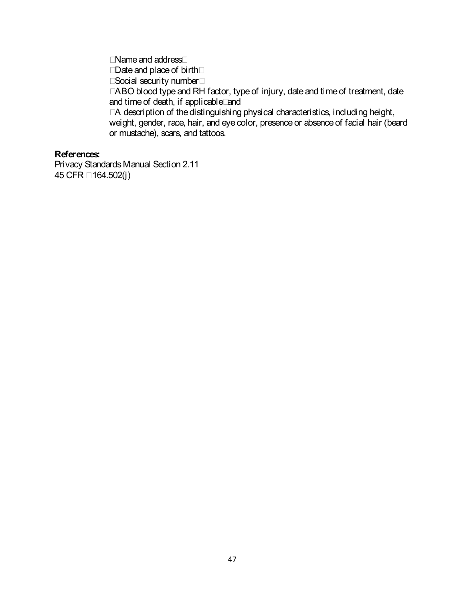- Name and address;
- Date and place of birth;
- Social security number;
- ABO blood type and RH factor, type of injury, date and time of treatment, date and time of death, if applicable; and

• A description of the distinguishing physical characteristics, including height, weight, gender, race, hair, and eye color, presence or absence of facial hair (beard or mustache), scars, and tattoos.

### **References:**

Privacy Standards Manual Section 2.11 45 CFR § 164.502(j)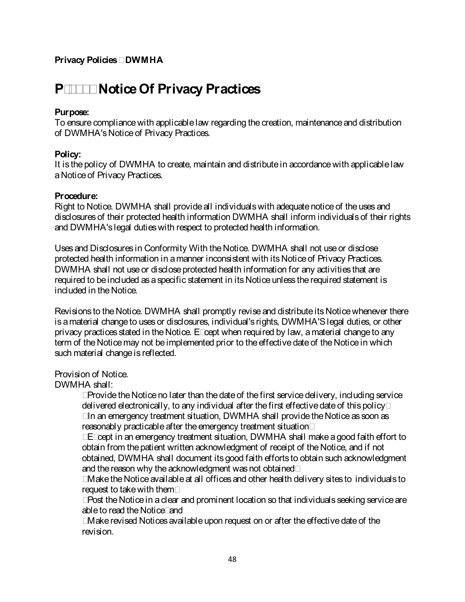# **P-3000 Notice Of Privacy Practices**

## **Purpose:**

To ensure compliance with applicable law regarding the creation, maintenance and distribution of DWMHA's Notice of Privacy Practices.

### **Policy:**

It is the policy of DWMHA to create, maintain and distribute in accordance with applicable law aNotice of Privacy Practices.

## **Procedure:**

Right to Notice. DWMHA shall provide all individuals with adequate notice of the uses and disclosures of their protected health information DWMHA shall inform individuals of their rights and DWMHA's legal duties with respect to protected health information.

Uses and Disclosures in Conformity With the Notice. DWMHA shall not use or disclose protected health information in a manner inconsistent with its Notice of Privacy Practices. DWMHA shall not use or disclose protected health information for any activities that are required to be included as a specific statement in its Notice unless the required statement is included in the Notice.

Revisions to the Notice. DWMHA shall promptly revise and distribute its Notice whenever there is a material change to uses or disclosures, individual's rights, DWMHA'S legal duties, or other privacy practices stated in the Notice. Except when required by law, a material change to any term of the Notice may not be implemented prior to the effective date of the Notice in which such material change is reflected.

## Provision of Notice.

DWMHA shall:

- Provide the Notice no later than the date of the first service delivery, including service delivered electronically, to any individual after the first effective date of this policy;
- In an emergency treatment situation, DWMHA shall provide the Notice as soon as reasonably practicable after the emergency treatment situation;
- Except in an emergency treatment situation, DWMHA shall make a good faith effort to obtain from the patient written acknowledgment of receipt of the Notice, and if not obtained, DWMHA shall document its good faith efforts to obtain such acknowledgment and the reason why the acknowledgment was not obtained;
- Make the Notice available at all offices and other health delivery sites to individuals to request to take with them;
- Post the Notice in a clear and prominent location so that individuals seeking service are able to read the Notice; and
- Make revised Notices available upon request on or after the effective date of the revision.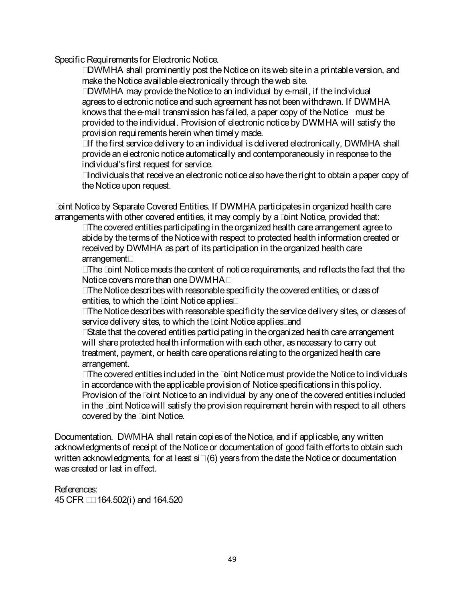Specific Requirements for Electronic Notice.

• DWMHA shall prominently post the Notice on its web site in a printable version, and make the Notice available electronically through the web site.

• DWMHA may provide the Notice to an individual by e-mail, if the individual agrees to electronic notice and such agreement has not been withdrawn. If DWMHA knows that the e-mail transmission has failed, a paper copy of the Notice must be provided to the individual. Provision of electronic notice by DWMHA will satisfy the provision requirements herein when timely made.

• If the first service delivery to an individual is delivered electronically, DWMHA shall provide an electronic notice automatically and contemporaneously in response to the individual's first request for service.

• Individuals that receive an electronic notice also have the right to obtain a paper copy of the Notice upon request.

Joint Notice by Separate Covered Entities. If DWMHA participates in organized health care arrangements with other covered entities, it may comply by a Joint Notice, provided that:

• The covered entities participating in the organized health care arrangement agree to abide by the terms of the Notice with respect to protected health information created or received by DWMHA as part of its participation in the organized health care arrangement;

• The Joint Notice meets the content of notice requirements, and reflects the fact that the Notice covers more than one DWMHA;

• The Notice describes with reasonable specificity the covered entities, or class of entities, to which the Joint Notice applies;

• The Notice describes with reasonable specificity the service delivery sites, or classes of service delivery sites, to which the Joint Notice applies; and

• State that the covered entities participating in the organized health care arrangement will share protected health information with each other, as necessary to carry out treatment, payment, or health care operations relating to the organized health care arrangement.

• The covered entities included in the Joint Notice must provide the Notice to individuals in accordance with the applicable provision of Notice specifications in this policy. Provision of the Joint Notice to an individual by any one of the covered entities included in the Joint Notice will satisfy the provision requirement herein with respect to all others covered by the Joint Notice.

Documentation. DWMHA shall retain copies of the Notice, and if applicable, any written acknowledgments of receipt of the Notice or documentation of good faith efforts to obtain such written acknowledgments, for at least six (6) years from the date the Notice or documentation was created or last in effect.

References: 45 CFR §§ 164.502(i) and 164.520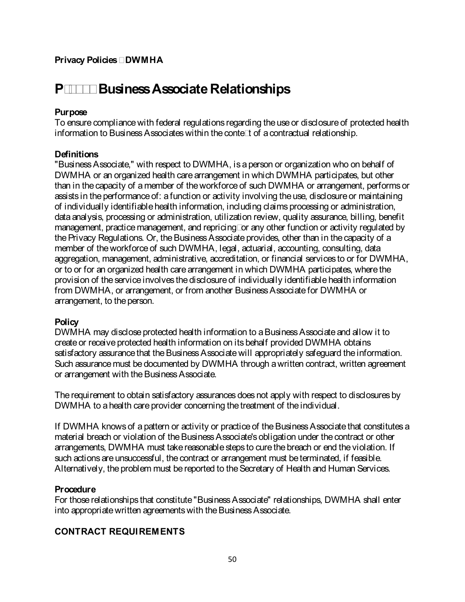# **P-4000 Business Associate Relationships**

## **Purpose**

To ensure compliance with federal regulations regarding the use or disclosure of protected health information to Business Associates within the context of a contractual relationship.

## **Definitions**

"Business Associate," with respect to DWMHA, is a person or organization who on behalf of DWMHA or an organized health care arrangement in which DWMHA participates, but other than in the capacity of a member of the workforce of such DWMHA or arrangement, performs or assists in the performance of: a function or activity involving the use, disclosure or maintaining of individually identifiable health information, including claims processing or administration, data analysis, processing or administration, utilization review, quality assurance, billing, benefit management, practice management, and repricing; or any other function or activity regulated by the Privacy Regulations. Or, the Business Associate provides, other than in the capacity of a member of theworkforce of such DWMHA, legal, actuarial, accounting, consulting, data aggregation, management, administrative, accreditation, or financial services to or for DWMHA, or to or for an organized health care arrangement in which DWMHA participates, where the provision of theservice involves the disclosure of individually identifiable health information from DWMHA, or arrangement, or from another Business Associate for DWMHA or arrangement, to the person.

#### **Policy**

DWMHA may disclose protected health information to a Business Associate and allow it to create or receive protected health information on its behalf provided DWMHA obtains satisfactory assurance that the Business Associate will appropriately safeguard the information. Such assurance must be documented by DWMHA through a written contract, written agreement or arrangement with the Business Associate.

The requirement to obtain satisfactory assurances does not apply with respect to disclosures by DWMHA to a health care provider concerning the treatment of the individual.

If DWMHA knows of a pattern or activity or practice of the Business Associate that constitutes a material breach or violation of the Business Associate's obligation under the contract or other arrangements, DWMHA must take reasonable steps to cure the breach or end the violation. If such actions are unsuccessful, the contract or arrangement must be terminated, if feasible. Alternatively, the problem must be reported to the Secretary of Health and Human Services.

## **Procedure**

For those relationships that constitute "Business Associate" relationships, DWMHA shall enter into appropriate written agreements with the Business Associate.

## **CONTRACT REQUIREMENTS**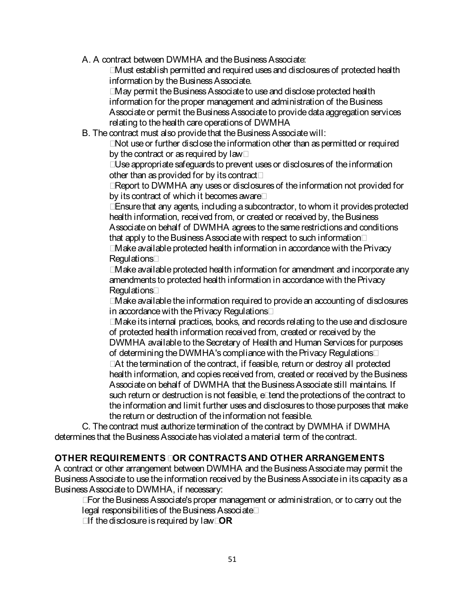A. A contract between DWMHA and the Business Associate:

• Must establish permitted and required uses and disclosures of protected health information by the Business Associate.

• May permit the Business Associate to use and disclose protected health information for the proper management and administration of the Business Associate or permit the Business Associate to provide data aggregation services relating to the health care operations of DWMHA

B. The contract must also provide that the Business Associate will:

• Not use or further disclose the information other than as permitted or required by the contract or as required by law;

• Use appropriate safeguards to prevent uses or disclosures of the information other than as provided for by its contract;

• Report to DWMHA any uses or disclosures of the information not provided for by its contract of which it becomes aware;

• Ensure that any agents, including a subcontractor, to whom it provides protected health information, received from, or created or received by, the Business Associate on behalf of DWMHA agrees to the same restrictions and conditions that apply to the Business Associate with respect to such information;

• Make available protected health information in accordance with the Privacy Regulations;

• Make available protected health information for amendment and incorporate any amendments to protected health information in accordancewith the Privacy Regulations:

• Make available the information required to provide an accounting of disclosures in accordance with the Privacy Regulations;

• Make its internal practices, books, and records relating to the use and disclosure of protected health information received from, created or received by the DWMHA available to the Secretary of Health and Human Services for purposes of determining the DWMHA's compliance with the Privacy Regulations;

• At the termination of the contract, if feasible, return or destroy all protected health information, and copies received from, created or received by the Business Associate on behalf of DWMHA that the BusinessAssociate still maintains. If such return or destruction is not feasible, extend the protections of the contract to the information and limit further uses and disclosures to those purposes that make the return or destruction of the information not feasible.

C. The contract must authorize termination of the contract by DWMHA if DWMHA determines that the Business Associate has violated a material term of the contract.

# **OTHER REQUIREMENTS FOR CONTRACTS AND OTHER ARRANGEMENTS**

A contract or other arrangement between DWMHA and the Business Associate may permit the Business Associate to use the information received by the Business Associate in its capacity as a Business Associate to DWMHA, if necessary:

• For the Business Associate's proper management or administration, or to carry out the legal responsibilities of the Business Associate;

• If the disclosure is required by law; **OR**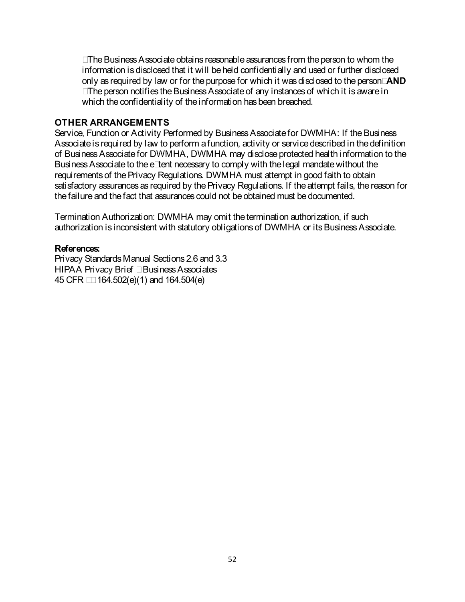• The Business Associate obtains reasonable assurances from the person to whom the information is disclosed that it will be held confidentially and used or further disclosed only as required by law or for the purpose for which it was disclosed to the person; **AND**

• The person notifies the Business Associate of any instances of which it is aware in which the confidentiality of the information has been breached.

#### **OTHER ARRANGEMENTS**

Service, Function or Activity Performed by Business Associate for DWMHA: If the Business Associate is required by law to perform a function, activity or service described in the definition of Business Associate for DWMHA, DWMHA may disclose protected health information to the Business Associate to the extent necessary to comply with the legal mandate without the requirements of the Privacy Regulations. DWMHA must attempt in good faith to obtain satisfactory assurances as required by the Privacy Regulations. If the attempt fails, the reason for the failure and the fact that assurances could not be obtained must be documented.

Termination Authorization: DWMHA may omit the termination authorization, if such authorization is inconsistent with statutory obligations of DWMHA or its Business Associate.

#### **References:**

Privacy Standards Manual Sections 2.6 and 3.3 HIPAA Privacy Brief – Business Associates 45 CFR §§ 164.502(e)(1) and 164.504(e)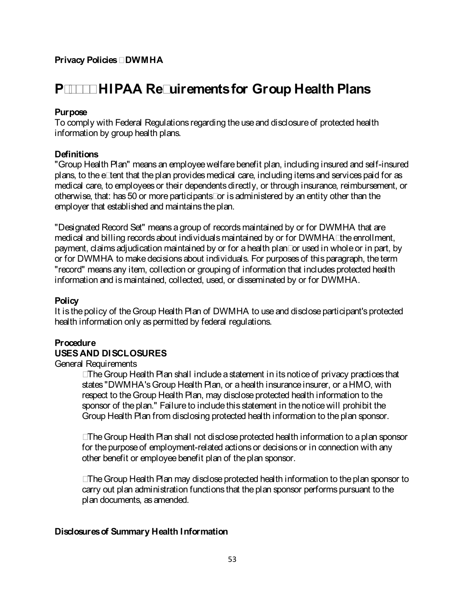# **P-4100 HIPAA Requirements for Group Health Plans**

## **Purpose**

To comply with Federal Regulations regarding the use and disclosure of protected health information by group health plans.

## **Definitions**

"Group Health Plan" means an employee welfare benefit plan, including insured and self-insured plans, to the extent that the plan provides medical care, including items and services paid for as medical care, to employees or their dependents directly, or through insurance, reimbursement, or otherwise, that: has 50 or more participants; or is administered by an entity other than the employer that established and maintains the plan.

"Designated Record Set" means a group of records maintained by or for DWMHA that are medical and billing records about individuals maintained by or for DWMHA; the enrollment, payment, claims adjudication maintained by or for a health plan; or used in wholeor in part, by or for DWMHA to make decisions about individuals. For purposes of this paragraph, the term "record" means any item, collection or grouping of information that includes protected health information and is maintained, collected, used, or disseminated by or for DWMHA.

### **Policy**

It is the policy of the Group Health Plan of DWMHA to use and disclose participant's protected health information only as permitted by federal regulations.

# **Procedure**

## **USES AND DISCLOSURES**

General Requirements

• The Group Health Plan shall include a statement in its notice of privacy practices that states "DWMHA's Group Health Plan, or a health insurance insurer, or aHMO, with respect to the Group Health Plan, may disclose protected health information to the sponsor of the plan." Failure to include this statement in the notice will prohibit the Group Health Plan from disclosing protected health information to the plan sponsor.

• The Group Health Plan shall not disclose protected health information to a plan sponsor for the purpose of employment-related actions or decisions or in connection with any other benefit or employee benefit plan of the plan sponsor.

• The Group Health Plan may disclose protected health information to the plan sponsor to carry out plan administration functions that the plan sponsor performs pursuant to the plan documents, as amended.

#### **Disclosures of Summary Health Information**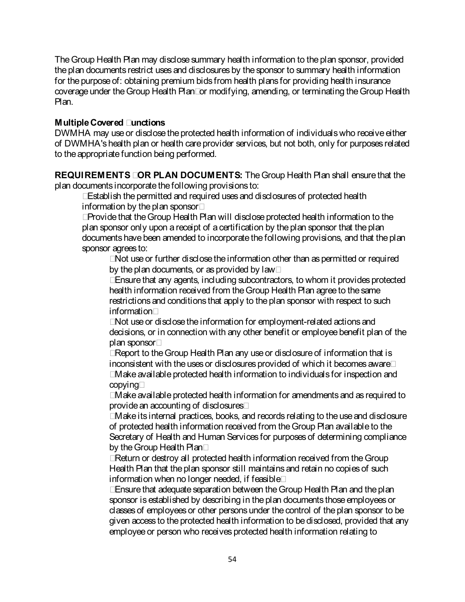The Group Health Plan may disclose summary health information to the plan sponsor, provided the plan documents restrict uses and disclosures by the sponsor to summary health information for the purpose of: obtaining premium bids from health plans for providing health insurance coverage under the Group Health Plan; or modifying, amending, or terminating the Group Health Plan.

## **Multiple Covered Functions**

DWMHA may use or disclose the protected health information of individuals who receive either of DWMHA's health plan or health care provider services, but not both, only for purposes related to the appropriate function being performed.

**REQUIREMENTS FOR PLAN DOCUMENTS:** The Group Health Plan shall ensure that the plan documents incorporate the following provisions to:

• Establish the permitted and required uses and disclosures of protected health information by the plan sponsor;

• Provide that the Group Health Plan will disclose protected health information to the plan sponsor only upon a receipt of a certification by the plan sponsor that theplan documents have been amended to incorporate the following provisions, and that the plan sponsor agrees to:

• Not use or further disclose the information other than as permitted or required by the plan documents, or as provided by law;

• Ensure that any agents, including subcontractors, to whom it provides protected health information received from the Group Health Plan agree to the same restrictions and conditions that apply to the plan sponsor with respect to such information;

• Not use or disclose the information for employment-related actions and decisions, or in connection with any other benefit or employee benefit plan of the plan sponsor;

• Report to the Group Health Plan any use or disclosure of information that is inconsistent with the uses or disclosures provided of which it becomes aware;

• Make available protected health information to individuals for inspection and copying;

• Make available protected health information for amendments and as required to provide an accounting of disclosures;

• Make its internal practices, books, and records relating to the use and disclosure of protected health information received from the Group Plan available to the Secretary of Health and Human Services for purposes of determining compliance by the Group Health Plan;

• Return or destroy all protected health information received from the Group Health Plan that the plan sponsor still maintains and retain no copies of such information when no longer needed, if feasible;

• Ensure that adequate separation between the Group Health Plan and the plan sponsor is established by describing in the plan documents those employees or classes of employees or other persons under the control of the plan sponsor to be given access to the protected health information to be disclosed, provided that any employee or person who receives protected health information relating to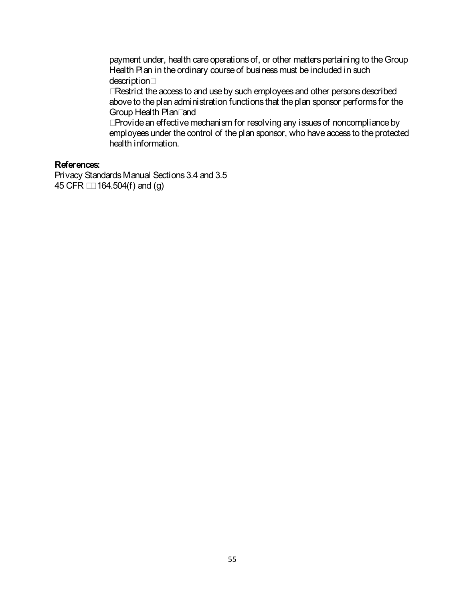payment under, health care operations of, or other matters pertaining to the Group Health Plan in the ordinary course of business must be included in such description;

• Restrict the access to and use by such employees and other persons described above to the plan administration functions that the plan sponsor performs for the Group Health Plan; and

• Provide an effective mechanism for resolving any issues of noncompliance by employees under the control of the plan sponsor, who have access to the protected health information.

#### **References:**

Privacy Standards Manual Sections 3.4 and 3.5 45 CFR §§ 164.504(f) and (g)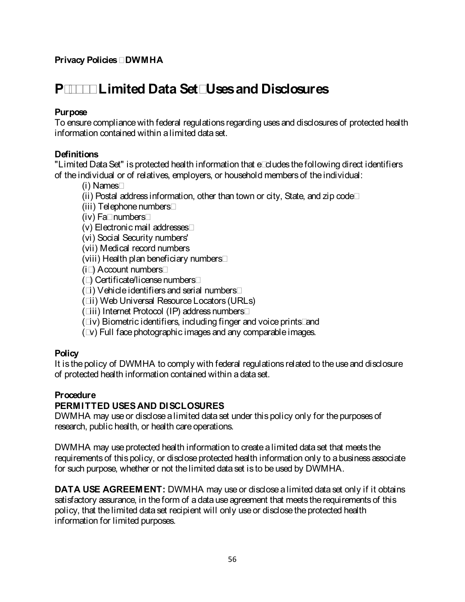# **P-4200 Limited Data Set; Uses and Disclosures**

## **Purpose**

To ensure compliance with federal regulations regarding uses and disclosures of protected health information contained within a limited data set.

## **Definitions**

"Limited Data Set" is protected health information that excludes the following direct identifiers of the individual or of relatives, employers, or household members of the individual:

(i) Names;

- (ii) Postal address information, other than town or city, State, and zip code;
- (iii) Telephone numbers;
- (iv) Fax numbers;
- (v) Electronic mail addresses;
- (vi) Social Security numbers'
- (vii) Medical record numbers
- (viii) Health plan beneficiary numbers;
- (ix) Account numbers;
- (x) Certificate/license numbers;
- (xi) Vehicle identifiers and serial numbers;
- (xii) Web Universal Resource Locators (URLs)
- (xiii) Internet Protocol (IP) address numbers;
- (xiv) Biometric identifiers, including finger and voice prints; and
- (xv) Full face photographic images and any comparable images.

## **Policy**

It is the policy of DWMHA to comply with federal regulations related to the use and disclosure of protected health information contained within a data set.

# **Procedure**

# **PERMITTED USES AND DISCLOSURES**

DWMHA may use or disclose a limited data set under this policy only for the purposes of research, public health, or health care operations.

DWMHA may use protected health information to create a limited data set that meets the requirements of this policy, or disclose protected health information only to a business associate for such purpose, whether or not the limited data set is to be used by DWMHA.

**DATA USE AGREEMENT:** DWMHA may use or disclose a limited data set only if it obtains satisfactory assurance, in the form of a data use agreement that meets the requirements of this policy, that the limited data set recipient will only use or disclose the protected health information for limited purposes.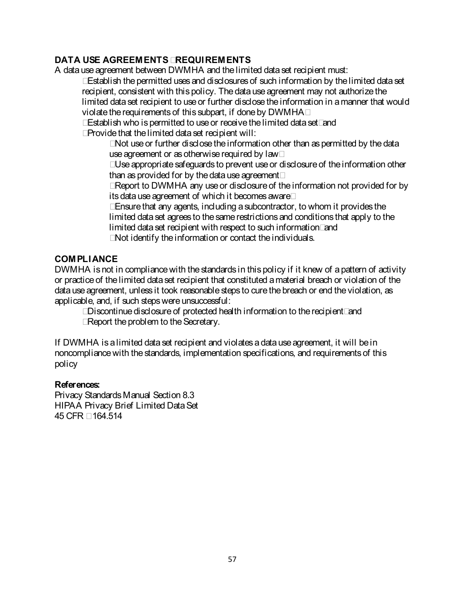# **DATA USE AGREEMENTS - REQUIREMENTS**

A data use agreement between DWMHA and the limited data set recipient must:

- Establish the permitted uses and disclosures of such information by the limited data set recipient, consistent with this policy. The data use agreement may not authorize the limited data set recipient to use or further disclose the information in a manner that would violate the requirements of this subpart, if done by DWMHA;
- Establish who is permitted to use or receive the limited data set; and
- Provide that the limited data set recipient will:

• Not use or further disclose the information other than as permitted by the data use agreement or as otherwise required by law;

• Use appropriate safeguards to prevent use or disclosure of the information other than as provided for by the data use agreement;

• Report to DWMHA any use or disclosure of the information not provided for by its data use agreement of which it becomes aware;

• Ensure that any agents, including a subcontractor, to whom it provides the limited data set agrees to the same restrictions and conditions that apply to the limited data set recipient with respect to such information; and

• Not identify the information or contact the individuals.

## **COMPLIANCE**

DWMHA is not in compliance with the standards in this policy if it knew of a pattern of activity or practice of the limited data set recipient that constituted a material breach or violation of the data use agreement, unless it took reasonable steps to cure the breach or end the violation, as applicable, and, if such steps were unsuccessful:

- Discontinue disclosure of protected health information to the recipient; and
- Report the problem to the Secretary.

If DWMHA is a limited data set recipient and violates a data use agreement, it will be in noncompliance with the standards, implementation specifications, and requirements of this policy

## **References:**

Privacy Standards Manual Section 8.3 HIPAA Privacy Brief Limited Data Set 45 CFR § 164.514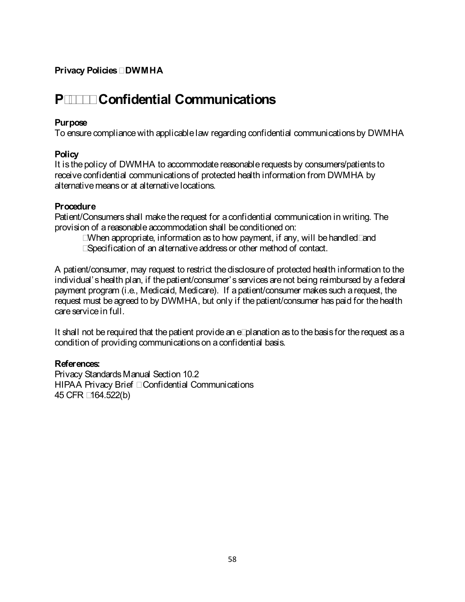# **P-4300 Confidential Communications**

#### **Purpose**

To ensure compliance with applicable law regarding confidential communications by DWMHA

#### **Policy**

It is the policy of DWMHA to accommodate reasonable requests by consumers/patients to receive confidential communications of protected health information from DWMHA by alternativemeans or at alternative locations.

#### **Procedure**

Patient/Consumers shall make the request for a confidential communication in writing. The provision of areasonable accommodation shall be conditioned on:

- When appropriate, information as to how payment, if any, will be handled; and
- Specification of an alternative address or other method of contact.

A patient/consumer, may request to restrict the disclosure of protected health information to the individual's health plan, if the patient/consumer's services are not being reimbursed by a federal payment program (i.e., Medicaid, Medicare). If a patient/consumer makes such a request, the request must be agreed to by DWMHA, but only if the patient/consumer has paid for the health care service in full.

It shall not be required that the patient provide an explanation as to the basis for the request as a condition of providing communications on a confidential basis.

#### **References:**

Privacy Standards Manual Section 10.2 HIPAA Privacy Brief – Confidential Communications 45 CFR §164.522(b)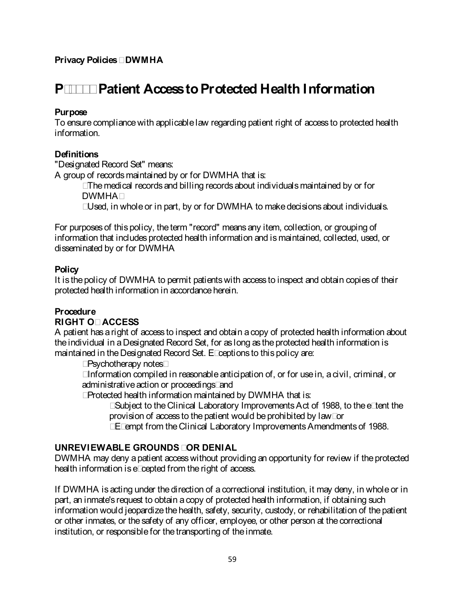# **P-4400 Patient Access to Protected Health Information**

## **Purpose**

To ensure compliance with applicable law regarding patient right of access to protected health information.

## **Definitions**

"Designated Record Set" means:

A group of records maintained by or for DWMHA that is:

- The medical records and billing records about individuals maintained by or for DWMHA;
- Used, in whole or in part, by or for DWMHA to make decisions about individuals.

For purposes of this policy, the term "record" means any item, collection, or grouping of information that includes protected health information and is maintained, collected, used, or disseminated by or for DWMHA

## **Policy**

It is the policy of DWMHA to permit patients with access to inspect and obtain copies of their protected health information in accordance herein.

## **Procedure**

## **RIGHT OF ACCESS**

A patient has a right of access to inspect and obtain a copy of protected health information about the individual in a Designated Record Set, for as long as the protected health information is maintained in the Designated Record Set. Exceptions to this policy are:

- Psychotherapy notes;
- Information compiled in reasonable anticipation of, or for use in, a civil, criminal, or administrative action or proceedings; and
- Protected health information maintained by DWMHA that is:
	- Subject to the Clinical Laboratory Improvements Act of 1988, to the extent the provision of access to the patient would be prohibited by law; or
	- Exempt from the Clinical Laboratory Improvements Amendments of 1988.

## **UNREVIEWABLE GROUNDS FOR DENIAL**

DWMHA may deny a patient access without providing an opportunity for review if the protected health information is excepted from the right of access.

If DWMHA is acting under the direction of a correctional institution, it may deny, in whole or in part, an inmate's request to obtain a copy of protected health information, if obtaining such information would jeopardize the health, safety, security, custody, or rehabilitation of the patient or other inmates, or the safety of any officer, employee, or other person at the correctional institution, or responsible for the transporting of the inmate.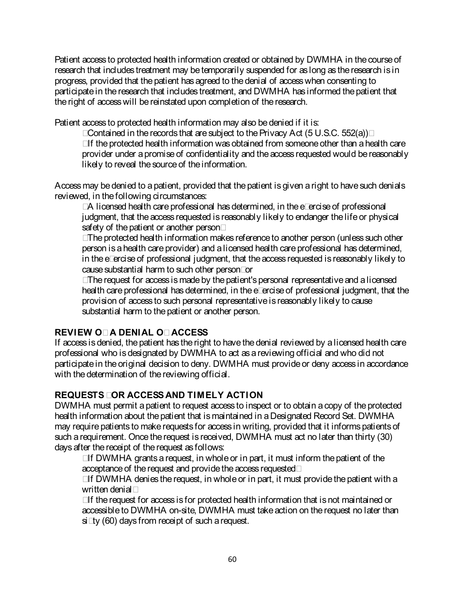Patient access to protected health information created or obtained by DWMHA in the course of research that includes treatment may be temporarily suspended for as long as the research is in progress, provided that the patient has agreed to the denial of access when consenting to participate in the research that includes treatment, and DWMHA has informed the patient that the right of access will be reinstated upon completion of the research.

Patient access to protected health information may also be denied if it is:

• Contained in the records that are subject to the Privacy Act (5 U.S.C. 552(a));

• If the protected health information was obtained from someone other than a health care provider under a promise of confidentiality and the access requested would be reasonably likely to reveal the source of the information.

Access may be denied to a patient, provided that the patient is given a right to have such denials reviewed, in the following circumstances:

• A licensed health care professional has determined, in the exercise of professional judgment, that the access requested is reasonably likely to endanger the life or physical safety of the patient or another person;

• The protected health information makes reference to another person (unless such other person is a health care provider) and a licensed health care professional has determined, in the exercise of professional judgment, that the access requested is reasonably likely to cause substantial harm to such other person; or

• The request for access is made by the patient's personal representative and alicensed health care professional has determined, in the exercise of professional judgment, that the provision of access to such personal representative is reasonably likely to cause substantial harm to the patient or another person.

# **REVIEW OF A DENIAL OF ACCESS**

If access is denied, the patient has the right to have the denial reviewed by a licensed health care professional who is designated by DWMHA to act as a reviewing official and who did not participate in the original decision to deny. DWMHA must provide or deny access in accordance with the determination of the reviewing official.

# **REQUESTS FOR ACCESS AND TIMELY ACTION**

DWMHA must permit a patient to request access to inspect or to obtain a copy of the protected health information about the patient that is maintained in a Designated Record Set. DWMHA may require patients to make requests for access in writing, provided that it informs patients of such a requirement. Once the request is received, DWMHA must act no later than thirty (30) days after the receipt of the request as follows:

• If DWMHA grants a request, in whole or in part, it must inform the patient of the acceptance of the request and provide the access requested;

• If DWMHA denies the request, in whole or in part, it must provide the patient with a written denial;

• If the request for access is for protected health information that is not maintained or accessible to DWMHA on-site, DWMHA must take action on the request no later than sixty (60) days from receipt of such a request.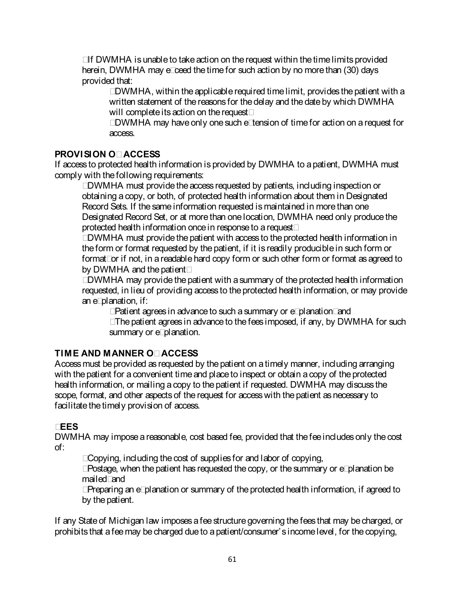• If DWMHA is unable to take action on the request within the time limits provided herein, DWMHA may exceed the time for such action by no more than (30) days provided that:

• DWMHA, within the applicable required time limit, provides the patient with a written statement of the reasons for the delay and the date by which DWMHA will complete its action on the request;

• DWMHA may have only one such extension of time for action on a request for access.

# **PROVISION OF ACCESS**

If access to protected health information is provided by DWMHA to a patient, DWMHA must comply with the following requirements:

• DWMHA must provide the access requested by patients, including inspection or obtaining a copy, or both, of protected health information about them in Designated Record Sets. If the same information requested is maintained in more than one Designated Record Set, or at more than one location, DWMHA need only produce the protected health information once in response to a request;

• DWMHA must provide the patient with access to the protected health information in the form or format requested by the patient, if it is readily produciblein such form or format; or if not, in a readable hard copy form or such other form or format as agreed to by DWMHA and the patient;

• DWMHA may provide the patient with a summary of the protected health information requested, in lieu of providing access to the protected health information, or may provide an explanation, if:

- Patient agrees in advance to such a summary or explanation; and
- The patient agrees in advance to the fees imposed, if any, by DWMHA for such summary or explanation.

# **TIME AND MANNER OF ACCESS**

Access must be provided as requested by the patient on a timely manner, including arranging with the patient for a convenient time and place to inspect or obtain a copy of the protected health information, or mailing a copy to the patient if requested. DWMHA may discuss the scope, format, and other aspects of the request for access with the patient as necessary to facilitate the timely provision of access.

# **FEES**

DWMHA may impose a reasonable, cost based fee, provided that the fee includes only the cost of:

- Copying, including the cost of supplies for and labor of copying,
- Postage, when the patient has requested the copy, or the summary or explanation be mailed; and
- Preparing an explanation or summary of the protected health information, if agreed to by the patient.

If any State of Michigan law imposes a fee structure governing the fees that may be charged, or prohibits that a fee may be charged due to a patient/consumer's income level, for the copying,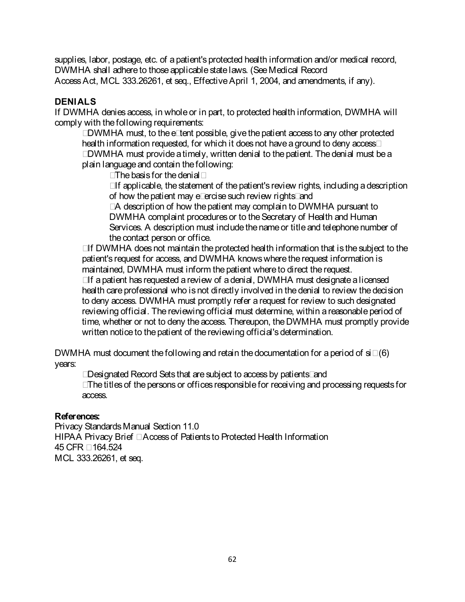supplies, labor, postage, etc. of a patient's protected health information and/or medical record, DWMHA shall adhere to those applicable state laws. (See Medical Record Access Act, MCL 333.26261, et seq., Effective April 1, 2004, and amendments, if any).

# **DENIALS**

If DWMHA denies access, in whole or in part, to protected health information, DWMHA will comply with the following requirements:

• DWMHA must, to the extent possible, give the patient access to any other protected health information requested, for which it does not have a ground to deny access;

• DWMHA must provide a timely, written denial to the patient. The denial must be a plain language and contain the following:

- The basis for the denial;
- If applicable, the statement of the patient's review rights, including a description of how the patient may exercise such review rights; and

• A description of how the patient may complain to DWMHA pursuant to DWMHA complaint procedures or to the Secretary of Health and Human Services. A description must include the name or title and telephone number of the contact person or office.

• If DWMHA does not maintain the protected health information that is the subject to the patient's request for access, and DWMHA knows where the request information is maintained, DWMHA must inform the patient where to direct the request.

• If a patient has requested a review of a denial, DWMHA must designate a licensed health care professional who is not directly involved in the denial to review thedecision to deny access. DWMHA must promptly refer a request for review to such designated reviewing official. The reviewing official must determine, within a reasonable period of time, whether or not to deny the access. Thereupon, theDWMHA must promptly provide written notice to the patient of the reviewing official's determination.

DWMHA must document the following and retain the documentation for a period of six (6) years:

• Designated Record Sets that are subject to access by patients; and

• The titles of the persons or offices responsible for receiving and processing requests for access.

## **References:**

Privacy Standards Manual Section 11.0 HIPAA Privacy Brief – Access of Patients to Protected Health Information 45 CFR § 164.524 MCL 333.26261, et seq.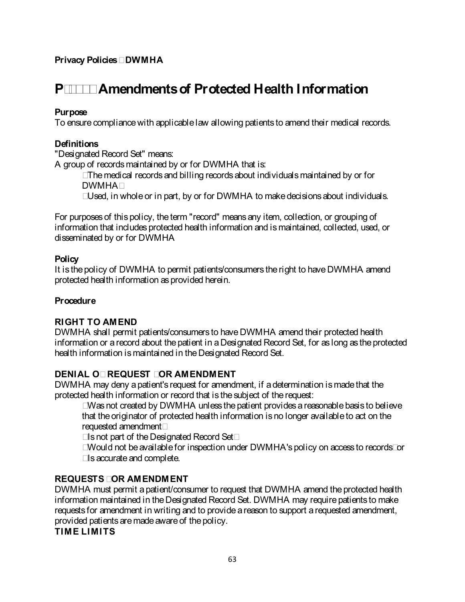# **P-4500 Amendments of Protected Health Information**

## **Purpose**

To ensure compliance with applicable law allowing patients to amend their medical records.

## **Definitions**

"Designated Record Set" means:

A group of records maintained by or for DWMHA that is:

- The medical records and billing records about individuals maintained by or for DWMHA;
- Used, in whole or in part, by or for DWMHA to make decisions about individuals.

For purposes of this policy, the term "record" means any item, collection, or grouping of information that includes protected health information and is maintained, collected, used, or disseminated by or for DWMHA

## **Policy**

It is the policy of DWMHA to permit patients/consumers the right to have DWMHA amend protected health information as provided herein.

# **Procedure**

# **RIGHT TO AMEND**

DWMHA shall permit patients/consumers to have DWMHA amend their protected health information or arecord about the patient in a Designated Record Set, for as long as the protected health information is maintained in the Designated Record Set.

# **DENIAL OF REQUEST FOR AMENDMENT**

DWMHA may deny a patient's request for amendment, if a determination is made that the protected health information or record that is the subject of the request:

• Was not created by DWMHA unless the patient provides a reasonable basis to believe that the originator of protected health information is no longer available to act on the requested amendment;

- Is not part of the Designated Record Set;
- Would not be available for inspection under DWMHA's policy on access to records; or
- Is accurate and complete.

# **REQUESTS FOR AMENDMENT**

DWMHA must permit a patient/consumer to request that DWMHA amend the protected health information maintained in the Designated Record Set. DWMHA may require patients to make requests for amendment in writing and to provide a reason to support a requested amendment, provided patients are made aware of the policy.

## **TIME LIMITS**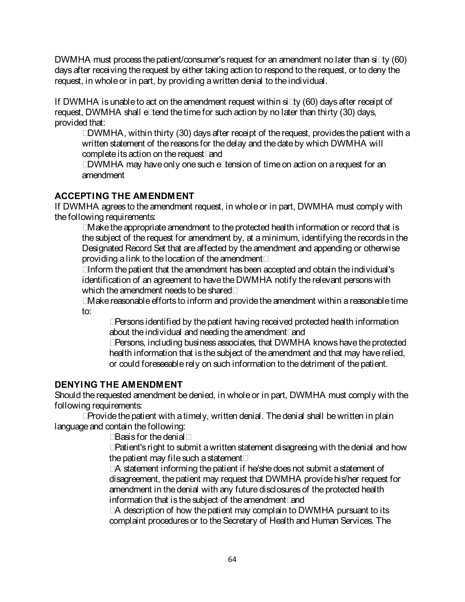DWMHA must process the patient/consumer's request for an amendment no later than sixty (60) days after receiving the request by either taking action to respond to the request, or to deny the request, in whole or in part, by providing a written denial to the individual.

If DWMHA is unable to act on the amendment request within sixty (60) days after receipt of request, DWMHA shall extend the time for such action by no later than thirty (30) days, provided that:

• DWMHA, within thirty (30) days after receipt of the request, provides the patient with a written statement of the reasons for the delay and the date by which DWMHA will complete its action on the request; and

• DWMHA may have only one such extension of time on action on a request for an amendment

# **ACCEPTING THE AMENDMENT**

If DWMHA agrees to the amendment request, in whole or in part, DWMHA must comply with the following requirements:

• Make the appropriate amendment to the protected health information or record that is the subject of the request for amendment by, at a minimum, identifying therecords in the Designated Record Set that are affected by the amendment and appending or otherwise providing a link to the location of the amendment;

• Inform the patient that the amendment has been accepted and obtain the individual's identification of an agreement to have the DWMHA notify the relevant persons with which the amendment needs to be shared:

• Make reasonable efforts to inform and provide the amendment within areasonable time to:

• Persons identified by the patient having received protected health information about the individual and needing the amendment; and

• Persons, including business associates, that DWMHA knows have the protected health information that is the subject of the amendment and that may have relied, or could foreseeable rely on such information to the detriment of the patient.

# **DENYING THE AMENDMENT**

Should the requested amendment be denied, in whole or in part, DWMHA must comply with the following requirements:

• Provide the patient with a timely, written denial. The denial shall be written in plain language and contain the following:

• Basis for the denial;

• Patient's right to submit a written statement disagreeing with the denial and how the patient may file such a statement;

• A statement informing the patient if he/she does not submit a statement of disagreement, the patient may request that DWMHA provide his/her request for amendment in the denial with any future disclosures of the protected health information that is the subject of the amendment; and

• A description of how the patient may complain to DWMHA pursuant to its complaint procedures or to the Secretary of Health and Human Services. The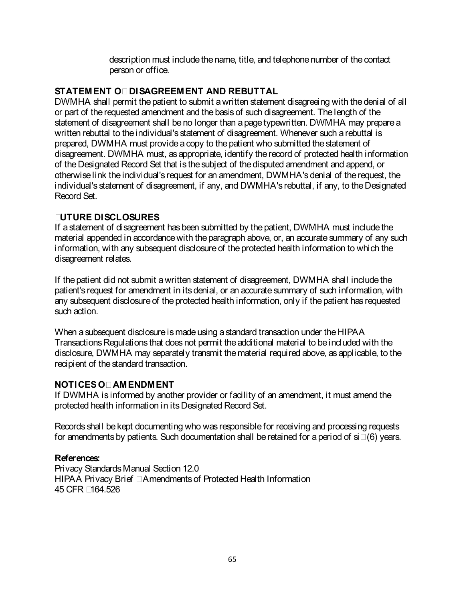description must include the name, title, and telephone number of the contact person or office.

## **STATEMENT OF DISAGREEMENT AND REBUTTAL**

DWMHA shall permit the patient to submit a written statement disagreeing with the denial of all or part of the requested amendment and the basis of such disagreement. The length of the statement of disagreement shall be no longer than a page typewritten. DWMHA may prepare a written rebuttal to the individual's statement of disagreement. Whenever such a rebuttal is prepared, DWMHA must provide a copy to the patient who submitted the statement of disagreement. DWMHA must, as appropriate, identify the record of protected health information of the Designated Record Set that is the subject of the disputed amendment and append, or otherwise link the individual's request for an amendment, DWMHA's denial of the request, the individual's statement of disagreement, if any, and DWMHA's rebuttal, if any, to the Designated Record Set.

## **FUTURE DISCLOSURES**

If a statement of disagreement has been submitted by the patient, DWMHA must include the material appended in accordance with the paragraph above, or, an accurate summary of any such information, with any subsequent disclosure of the protected health information to which the disagreement relates.

If the patient did not submit a written statement of disagreement, DWMHA shall include the patient's request for amendment in its denial, or an accurate summary of such information, with any subsequent disclosure of the protected health information, only if the patient has requested such action.

When a subsequent disclosure is made using a standard transaction under the HIPAA Transactions Regulations that does not permit the additional material to be included with the disclosure, DWMHA may separately transmit the material required above, as applicable, to the recipient of the standard transaction.

# **NOTICES OF AMENDMENT**

If DWMHA is informed by another provider or facility of an amendment, it must amend the protected health information in its Designated Record Set.

Records shall be kept documenting who was responsible for receiving and processing requests for amendments by patients. Such documentation shall be retained for a period of six (6) years.

# **References:**

Privacy Standards Manual Section 12.0 HIPAA Privacy Brief – Amendments of Protected Health Information 45 CFR §164.526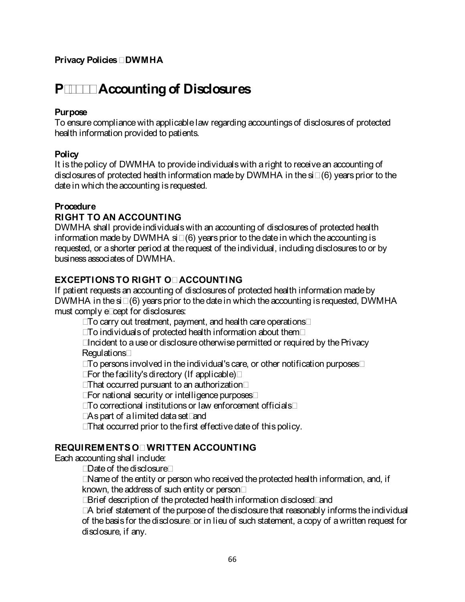# **P-4600 Accounting of Disclosures**

## **Purpose**

To ensure compliance with applicable law regarding accountings of disclosures of protected health information provided to patients.

## **Policy**

It is the policy of DWMHA to provide individuals with a right to receive an accounting of disclosures of protected health information made by DWMHA in the six (6) years prior to the date in which the accounting is requested.

## **Procedure**

## **RIGHT TO AN ACCOUNTING**

DWMHA shall provide individuals with an accounting of disclosures of protected health information made by DWMHA six (6) years prior to the date in which the accounting is requested, or a shorter period at the request of the individual, including disclosures to or by business associates of DWMHA.

## **EXCEPTIONS TO RIGHT OF ACCOUNTING**

If patient requests an accounting of disclosures of protected health information made by DWMHA in the six (6) years prior to the date in which the accounting is requested, DWMHA must comply except for disclosures:

- To carry out treatment, payment, and health care operations;
- To individuals of protected health information about them;
- Incident to a use or disclosure otherwise permitted or required by the Privacy Regulations;
- To persons involved in the individual's care, or other notification purposes;
- For the facility's directory (If applicable);
- That occurred pursuant to an authorization;
- For national security or intelligence purposes;
- To correctional institutions or law enforcement officials;
- As part of a limited data set; and
- That occurred prior to the first effective date of this policy.

## **REQUIREMENTS OF WRITTEN ACCOUNTING**

Each accounting shall include:

- Date of the disclosure;
- Name of the entity or person who received the protected health information, and, if known, the address of such entity or person;
- Brief description of the protected health information disclosed; and

• A brief statement of the purpose of the disclosure that reasonably informs the individual of the basis for the disclosure; or in lieu of such statement, a copy of awritten request for disclosure, if any.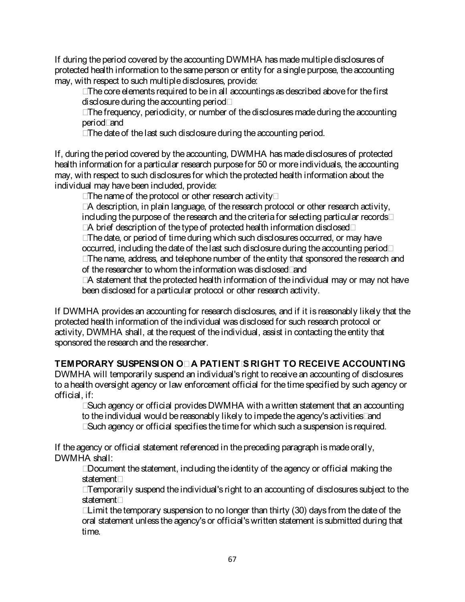If during the period covered by the accounting DWMHA has made multiple disclosures of protected health information to the same person or entity for a single purpose, the accounting may, with respect to such multiple disclosures, provide:

- The core elements required to be in all accountings as described above for the first disclosure during the accounting period;
- The frequency, periodicity, or number of the disclosures made during the accounting period; and
- The date of the last such disclosure during the accounting period.

If, during the period covered by the accounting, DWMHA has made disclosures of protected health information for a particular research purpose for 50 or more individuals, the accounting may, with respect to such disclosures for which the protected health information about the individual may have been included, provide:

- The name of the protocol or other research activity;
- A description, in plain language, of the research protocol or other research activity, including the purpose of the research and the criteria for selecting particular records;
- A brief description of the type of protected health information disclosed;
- The date, or period of time during which such disclosures occurred, or may have occurred, including the date of the last such disclosure during the accounting period;
- The name, address, and telephone number of the entity that sponsored the research and of the researcher to whom the information was disclosed; and

• A statement that the protected health information of the individual may or may not have been disclosed for a particular protocol or other research activity.

If DWMHA provides an accounting for research disclosures, and if it is reasonably likely that the protected health information of the individual was disclosed for such research protocol or activity, DWMHA shall, at the request of the individual, assist in contacting the entity that sponsored the research and the researcher.

# **TEMPORARY SUSPENSION OF A PATIENT'S RIGHT TO RECEIVE ACCOUNTING**

DWMHA will temporarily suspend an individual's right to receive an accounting of disclosures to a health oversight agency or law enforcement official for the time specified by such agency or official, if:

• Such agency or official provides DWMHA with a written statement that an accounting to the individual would be reasonably likely to impede the agency's activities; and

• Such agency or official specifies the time for which such a suspension is required.

If the agency or official statement referenced in the preceding paragraph is made orally, DWMHA shall:

• Document the statement, including the identity of the agency or official making the statement;

• Temporarily suspend the individual's right to an accounting of disclosures subject to the statement;

• Limit the temporary suspension to no longer than thirty (30) days from the date of the oral statement unless the agency's or official's written statement is submitted during that time.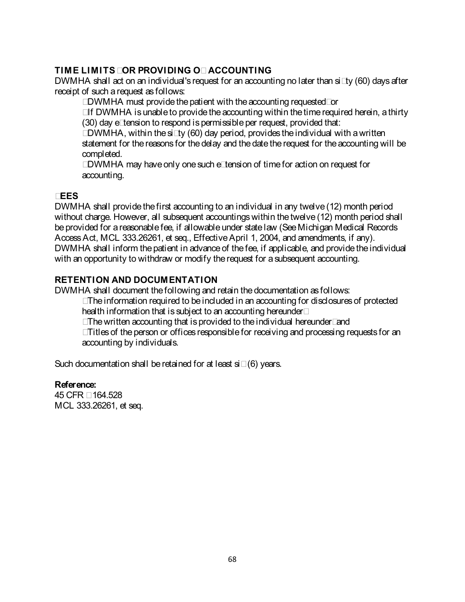## **TIME LIMITS FOR PROVIDING OF ACCOUNTING**

DWMHA shall act on an individual's request for an accounting no later than sixty (60) days after receipt of such a request as follows:

• DWMHA must provide the patient with the accounting requested; or

• If DWMHA is unable to provide the accounting within the time required herein, a thirty (30) day extension to respond is permissible per request, provided that:

• DWMHA, within the sixty (60) day period, provides the individual with awritten statement for the reasons for the delay and the date the request for the accounting will be completed.

• DWMHA may have only one such extension of time for action on request for accounting.

## **FEES**

DWMHA shall provide the first accounting to an individual in any twelve (12) month period without charge. However, all subsequent accountings within the twelve (12) month period shall be provided for a reasonable fee, if allowable under state law (See Michigan Medical Records Access Act, MCL 333.26261, et seq., Effective April 1, 2004, and amendments, if any). DWMHA shall inform the patient in advance of the fee, if applicable, and provide the individual with an opportunity to withdraw or modify the request for a subsequent accounting.

## **RETENTION AND DOCUMENTATION**

DWMHA shall document the following and retain the documentation as follows:

- The information required to be included in an accounting for disclosures of protected health information that is subject to an accounting hereunder;
- The written accounting that is provided to the individual hereunder; and
- Titles of the person or offices responsible for receiving and processing requests for an accounting by individuals.

Such documentation shall be retained for at least six (6) years.

## **Reference:**

45 CFR § 164.528 MCL 333.26261, et seq.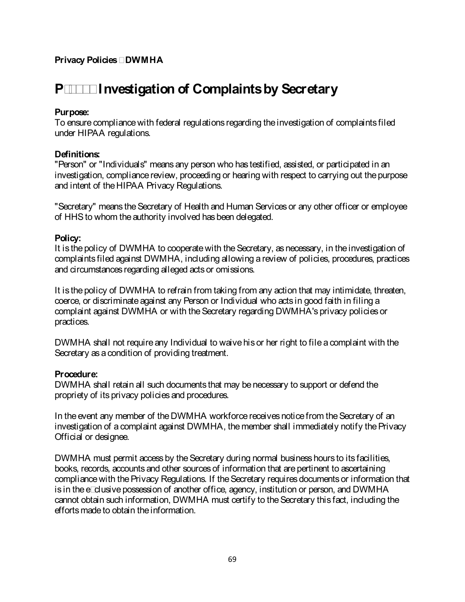# **P-5000 Investigation of Complaints by Secretary**

## **Purpose:**

To ensure compliance with federal regulations regarding the investigation of complaints filed under HIPAA regulations.

## **Definitions:**

"Person" or "Individuals" means any person who has testified, assisted, or participated in an investigation, compliance review, proceeding or hearing with respect to carrying out the purpose and intent of the HIPAA Privacy Regulations.

"Secretary" means the Secretary of Health and Human Services or any other officer or employee of HHS to whom the authority involved has been delegated.

## **Policy:**

It is the policy of DWMHA to cooperate with the Secretary, as necessary, in theinvestigation of complaints filed against DWMHA, including allowing a review of policies, procedures, practices and circumstances regarding alleged acts or omissions.

It is the policy of DWMHA to refrain from taking from any action that may intimidate, threaten, coerce, or discriminate against any Person or Individual who acts in good faith in filing a complaint against DWMHA or with the Secretary regarding DWMHA's privacy policies or practices.

DWMHA shall not require any Individual to waivehis or her right to file a complaint with the Secretary as a condition of providing treatment.

#### **Procedure:**

DWMHA shall retain all such documents that may be necessary to support or defend the propriety of its privacy policies and procedures.

In the event any member of the DWMHA workforce receives notice from the Secretary of an investigation of a complaint against DWMHA, the member shall immediately notify the Privacy Official or designee.

DWMHA must permit access by the Secretary during normal business hours to its facilities, books, records, accounts and other sources of information that are pertinent to ascertaining compliance with the Privacy Regulations. If the Secretary requires documents or information that is in the exclusive possession of another office, agency, institution or person, and DWMHA cannot obtain such information, DWMHA must certify to the Secretary this fact, including the efforts made to obtain the information.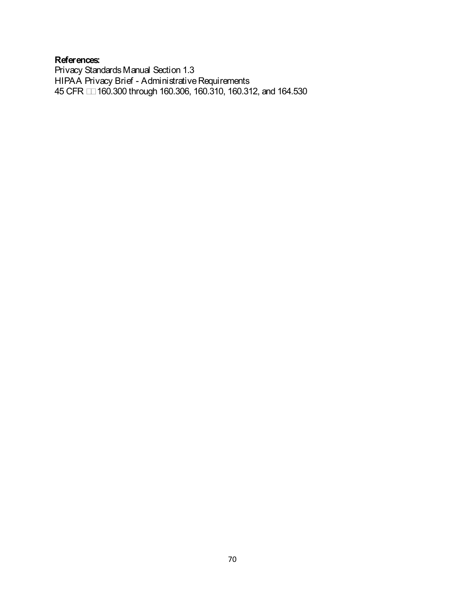## **References:**

Privacy Standards Manual Section 1.3 HIPAA Privacy Brief - Administrative Requirements 45 CFR §§ 160.300 through 160.306, 160.310, 160.312, and 164.530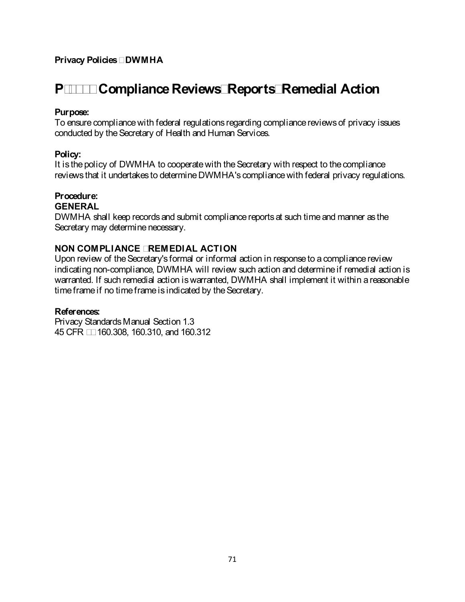# **P-5100 Compliance Reviews; Reports; Remedial Action**

#### **Purpose:**

To ensure compliance with federal regulations regarding compliance reviews of privacy issues conducted by the Secretary of Health and Human Services.

#### **Policy:**

It is the policy of DWMHA to cooperate with the Secretary with respect to the compliance reviews that it undertakes to determine DWMHA's compliance with federal privacy regulations.

## **Procedure:**

## **GENERAL**

DWMHA shall keep records and submit compliance reports at such time and manner as the Secretary may determine necessary.

#### **NON COMPLIANCE - REMEDIAL ACTION**

Upon review of the Secretary's formal or informal action in response to a compliance review indicating non-compliance, DWMHA will review such action and determine if remedial action is warranted. If such remedial action is warranted, DWMHA shall implement it within a reasonable time frame if no time frameis indicated by the Secretary.

#### **References:**

Privacy Standards Manual Section 1.3 45 CFR §§ 160.308, 160.310, and 160.312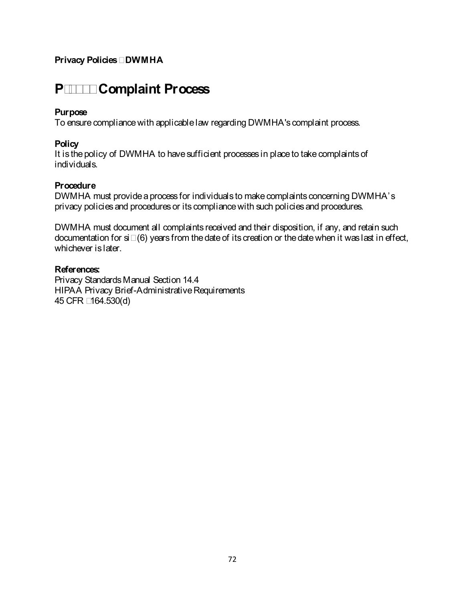## **P-5200 Complaint Process**

#### **Purpose**

To ensure compliance with applicable law regarding DWMHA's complaint process.

#### **Policy**

It is the policy of DWMHA to have sufficient processes in place to take complaints of individuals.

#### **Procedure**

DWMHA must provide a process for individuals to make complaints concerning DWMHA's privacy policies and procedures or its compliance with such policies and procedures.

DWMHA must document all complaints received and their disposition, if any, and retain such documentation for six (6) years from the date of its creation or the date when it was last in effect, whichever is later.

#### **References:**

Privacy Standards Manual Section 14.4 HIPAA Privacy Brief-Administrative Requirements 45 CFR §164.530(d)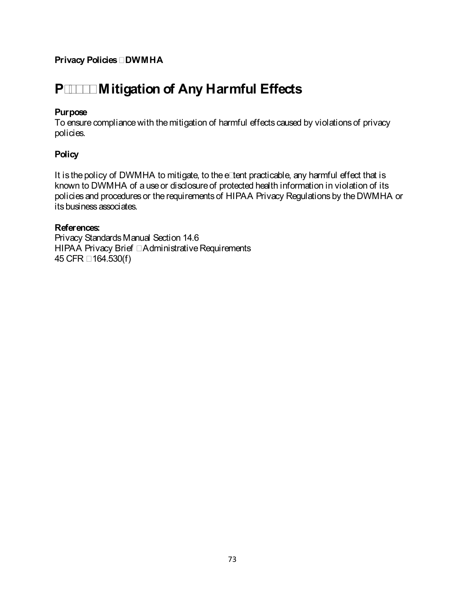# **P-5300 Mitigation of Any Harmful Effects**

#### **Purpose**

To ensure compliance with the mitigation of harmful effects caused by violations of privacy policies.

## **Policy**

It is the policy of DWMHA to mitigate, to the extent practicable, any harmful effect that is known to DWMHA of a use or disclosure of protected health information in violation of its policies and procedures or the requirements of HIPAA Privacy Regulations by the DWMHA or its business associates.

#### **References:**

Privacy Standards Manual Section 14.6 HIPAA Privacy Brief – Administrative Requirements 45 CFR § 164.530(f)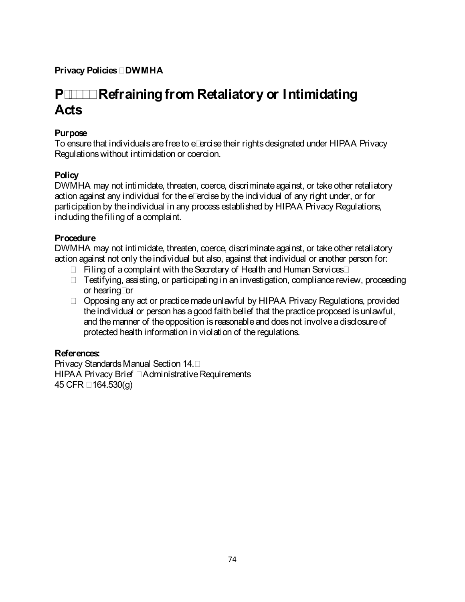## **P-5400 Refraining from Retaliatory or Intimidating Acts**

## **Purpose**

To ensure that individuals are free to exercise their rights designated under HIPAA Privacy Regulations without intimidation or coercion.

## **Policy**

DWMHA may not intimidate, threaten, coerce, discriminate against, or take other retaliatory action against any individual for the exercise by the individual of any right under, or for participation by the individual in any process established by HIPAA Privacy Regulations, including the filing of a complaint.

## **Procedure**

DWMHA may not intimidate, threaten, coerce, discriminate against, or take other retaliatory action against not only the individual but also, against that individual or another person for:

- Filing of a complaint with the Secretary of Health and Human Services;
- Testifying, assisting, or participating in an investigation, compliance review, proceeding or hearing; or
- Opposing any act or practice made unlawful by HIPAA Privacy Regulations, provided the individual or person has a good faith belief that the practice proposed is unlawful, and themanner of the opposition is reasonable and does not involve a disclosure of protected health information in violation of the regulations.

## **References:**

Privacy Standards Manual Section 14.7 HIPAA Privacy Brief – Administrative Requirements 45 CFR § 164.530(g)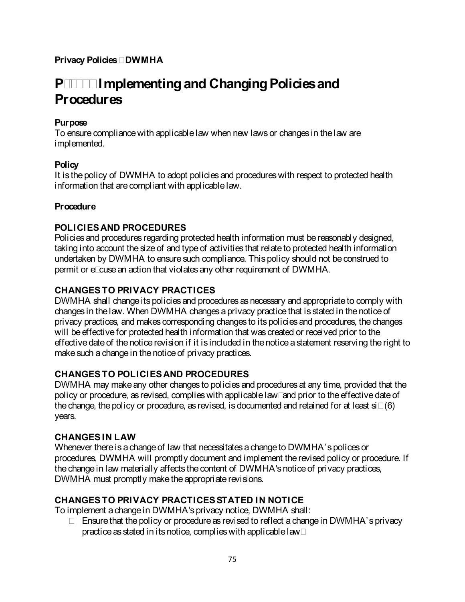## **P-5500 Implementing and Changing Policies and Procedures**

#### **Purpose**

To ensure compliance with applicable law when new laws or changes in the law are implemented.

#### **Policy**

It is the policy of DWMHA to adopt policies and procedures with respect to protected health information that are compliant with applicable law.

#### **Procedure**

## **POLICIES AND PROCEDURES**

Policies and procedures regarding protected health information must be reasonably designed, taking into account the size of and type of activities that relate to protected health information undertaken by DWMHA to ensure such compliance. This policy should not be construed to permit or excuse an action that violates any other requirement of DWMHA.

## **CHANGES TO PRIVACY PRACTICES**

DWMHA shall change its policies and procedures as necessary and appropriate to comply with changes in the law. When DWMHA changes a privacy practice that is stated in the notice of privacy practices, and makes corresponding changes to its policies and procedures, the changes will be effective for protected health information that was created or received prior to the effective date of the notice revision if it is included in the notice a statement reserving the right to make such a change in the notice of privacy practices.

## **CHANGES TO POLICIES AND PROCEDURES**

DWMHA may make any other changes to policies and procedures at any time, provided that the policy or procedure, as revised, complies with applicable law; and prior to the effective date of thechange, the policy or procedure, as revised, is documented and retained for at least six (6) years.

#### **CHANGES IN LAW**

Whenever there is a change of law that necessitates a change to DWMHA's polices or procedures, DWMHA will promptly document and implement the revised policy or procedure. If the change in law materially affects the content of DWMHA's notice of privacy practices, DWMHA must promptly make the appropriate revisions.

## **CHANGES TO PRIVACY PRACTICES STATED IN NOTICE**

To implement a change in DWMHA's privacy notice, DWMHA shall:

• Ensure that the policy or procedure as revised to reflect a change in DWMHA's privacy practice as stated in its notice, complies with applicable law;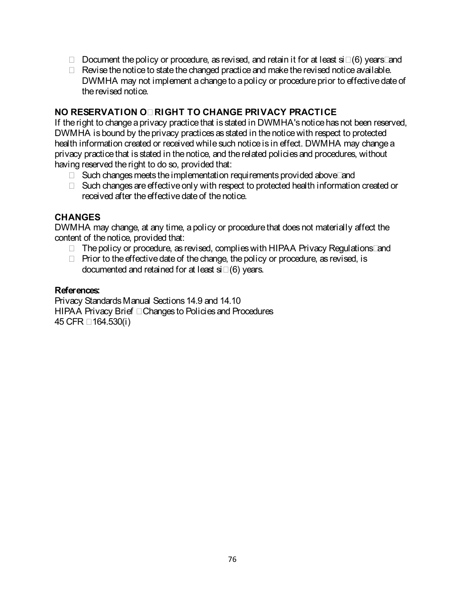- Document the policy or procedure, as revised, and retain it for at least six (6) years; and
- Revise the notice to state the changed practice and make the revised notice available. DWMHA may not implement a change to a policy or procedure prior to effective date of the revised notice.

#### **NO RESERVATION OF RIGHT TO CHANGE PRIVACY PRACTICE**

If the right to change a privacy practice that is stated in DWMHA's notice has not been reserved, DWMHA is bound by the privacy practices as stated in the notice with respect to protected health information created or received while such notice is in effect. DWMHA may change a privacy practice that is stated in the notice, and the related policies and procedures, without having reserved the right to do so, provided that:

- Such changes meets the implementation requirements provided above; and
- Such changes are effective only with respect to protected health information created or received after the effective date of the notice.

#### **CHANGES**

DWMHA may change, at any time, a policy or procedure that does not materially affect the content of the notice, provided that:

- The policy or procedure, as revised, complies with HIPAA Privacy Regulations; and
- Prior to the effective date of the change, the policy or procedure, as revised, is documented and retained for at least six (6) years.

#### **References:**

Privacy Standards Manual Sections 14.9 and 14.10 HIPAA Privacy Brief – Changes to Policies and Procedures 45 CFR § 164.530(i)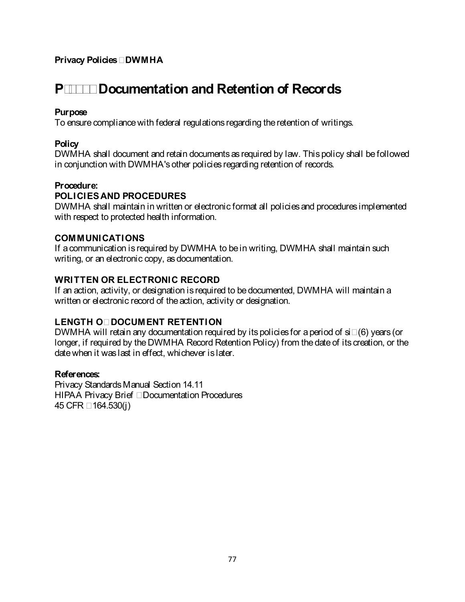## **P-5600 Documentation and Retention of Records**

#### **Purpose**

To ensure compliance with federal regulations regarding the retention of writings.

#### **Policy**

DWMHA shall document and retain documents as required by law. This policy shall be followed in conjunction with DWMHA's other policies regarding retention of records.

#### **Procedure:**

## **POLICIES AND PROCEDURES**

DWMHA shall maintain in written or electronic format all policies and procedures implemented with respect to protected health information.

#### **COMMUNICATIONS**

If a communication is required by DWMHA to be in writing, DWMHA shall maintain such writing, or an electronic copy, as documentation.

#### **WRITTEN OR ELECTRONIC RECORD**

If an action, activity, or designation is required to be documented, DWMHA will maintain a written or electronic record of the action, activity or designation.

## **LENGTH OF DOCUMENT RETENTION**

DWMHA will retain any documentation required by its policies for a period of six (6) years (or longer, if required by the DWMHA Record Retention Policy) from the date of its creation, or the date when it was last in effect, whichever is later.

#### **References:**

Privacy Standards Manual Section 14.11 HIPAA Privacy Brief – Documentation Procedures 45 CFR § 164.530(j)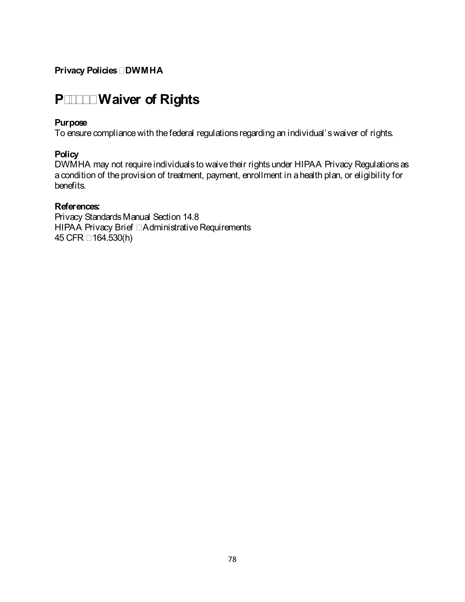## **P-5700 Waiver of Rights**

#### **Purpose**

To ensure compliance with the federal regulations regarding an individual's waiver of rights.

#### **Policy**

DWMHA may not require individuals to waive their rights under HIPAA Privacy Regulations as acondition of the provision of treatment, payment, enrollment in a health plan, or eligibility for benefits.

#### **References:**

Privacy Standards Manual Section 14.8 HIPAA Privacy Brief – Administrative Requirements 45 CFR § 164.530(h)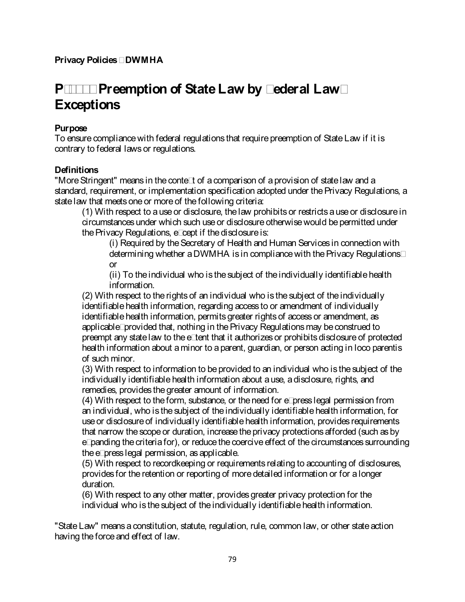# **P-5800 Preemption of State Law by Federal Law; Exceptions**

### **Purpose**

To ensure compliance with federal regulations that require preemption of State Law if it is contrary to federal laws or regulations.

#### **Definitions**

"More Stringent" means in the context of a comparison of a provision of state law and a standard, requirement, or implementation specification adopted under the Privacy Regulations, a state law that meets one or more of the following criteria:

(1) With respect to a use or disclosure, the law prohibits or restricts a use or disclosure in circumstances under which such use or disclosure otherwise would be permitted under the Privacy Regulations, except if the disclosure is:

(i) Required by the Secretary of Health and Human Services in connection with determining whether a DWMHA is in compliance with the Privacy Regulations; or

(ii) To the individual who is the subject of the individually identifiable health information.

(2) With respect to the rights of an individual who is the subject of the individually identifiable health information, regarding access to or amendment of individually identifiable health information, permits greater rights of access or amendment, as applicable; provided that, nothing in the Privacy Regulations may be construed to preempt any state law to the extent that it authorizes or prohibits disclosure of protected health information about a minor to a parent, guardian, or person acting in loco parentis of such minor.

(3) With respect to information to be provided to an individual who is the subject of the individually identifiable health information about a use, a disclosure, rights, and remedies, provides the greater amount of information.

(4) With respect to the form, substance, or the need for express legal permission from an individual, who is the subject of the individually identifiable health information, for use or disclosure of individually identifiable health information, provides requirements that narrow the scope or duration, increase the privacy protections afforded (such as by expanding the criteria for), or reduce the coercive effect of the circumstances surrounding the express legal permission, as applicable.

(5) With respect to recordkeeping or requirements relating to accounting of disclosures, provides for the retention or reporting of more detailed information or for a longer duration.

(6) With respect to any other matter, provides greater privacy protection for the individual who is the subject of the individually identifiable health information.

"State Law" means a constitution, statute, regulation, rule, common law, or other state action having the force and effect of law.